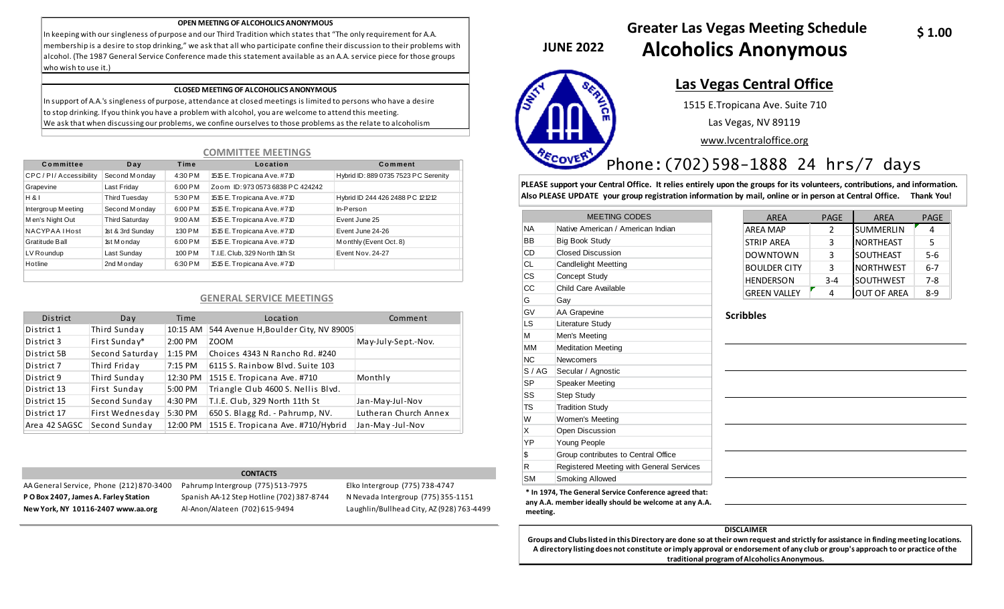#### **OPEN MEETING OF ALCOHOLICS ANONYMOUS**

In keeping with our singleness of purpose and our Third Tradition which states that "The only requirement for A.A. membership is a desire to stop drinking," we ask that all who participate confine their discussion to their problems with alcohol. (The 1987 General Service Conference made this statement available as an A.A. service piece for those groups who wish to use it.)

#### **CLOSED MEETING OF ALCOHOLICS ANONYMOUS**

In support of A.A.'s singleness of purpose, attendance at closed meetings is limited to persons who have a desire to stop drinking. If you think you have a problem with alcohol, you are welcome to attend this meeting. We ask that when discussing our problems, we confine ourselves to those problems as the relate to alcoholism

### **COMMITTEE MEETINGS**

| Committee            | Day                   | Time    | Location                         | Comment                              |
|----------------------|-----------------------|---------|----------------------------------|--------------------------------------|
| CPC/PI/Accessibility | Second Monday         | 4:30 PM | 1515 E. Tropicana Ave. #710      | Hybrid ID: 889 0735 7523 PC Serenity |
| Grapevine            | Last Friday           | 6:00 PM | Zoom ID: 973 0573 6838 PC 424242 |                                      |
| H & 8                | Third Tuesday         | 5:30 PM | 1515 E. Tropicana Ave. #710      | Hybrid ID 244 426 2488 PC 121212     |
| Intergroup Meeting   | Second Monday         | 6:00 PM | 1515 E. Tropicana Ave. #710      | In-Person                            |
| Men's Night Out      | <b>Third Saturday</b> | 9:00 AM | 1515 E. Tropicana Ave. #710      | Event June 25                        |
| NACYPAA IHost        | 1st & 3rd Sunday      | 1:30 PM | 1515 E. Tropicana Ave. #710      | Event June 24-26                     |
| Gratitude Ball       | 1st M onday           | 6:00 PM | 1515 E. Tropicana Ave. #710      | Monthly (Event Oct. 8)               |
| LV Roundup           | Last Sunday           | 1:00 PM | T.I.E. Club. 329 North 1th St    | Event Nov. 24-27                     |
| Hotline              | 2nd M onday           | 6:30 PM | 1515 E. Tropicana Ave. #710      |                                      |

### **GENERAL SERVICE MEETINGS**

| District      | Day             | Time     | Location                                      | Comment               |
|---------------|-----------------|----------|-----------------------------------------------|-----------------------|
| District 1    | Third Sunday    |          | 10:15 AM 544 Avenue H, Boulder City, NV 89005 |                       |
| District 3    | First Sunday*   | 2:00 PM  | ZOOM                                          | May-July-Sept.-Nov.   |
| District 5B   | Second Saturday | 1:15 PM  | Choices 4343 N Rancho Rd. #240                |                       |
| District 7    | Third Friday    | 7:15 PM  | 6115 S. Rainbow Blvd. Suite 103               |                       |
| District 9    | Third Sunday    | 12:30 PM | 1515 E. Tropicana Ave. #710                   | Monthly               |
| District 13   | First Sunday    | 5:00 PM  | Triangle Club 4600 S. Nellis Blvd.            |                       |
| District 15   | Second Sunday   | 4:30 PM  | T.I.E. Club, 329 North 11th St                | Jan-May-Jul-Nov       |
| District 17   | First Wednesday | 5:30 PM  | 650 S. Blagg Rd. - Pahrump, NV.               | Lutheran Church Annex |
| Area 42 SAGSC | Second Sunday   | 12:00 PM | 1515 E. Tropicana Ave. #710/Hybrid            | Jan-May-Jul-Nov       |

#### **CONTACTS**

AA General Service, Phone (212) 870-3400 Pahrump Intergroup (775) 513-7975 Elko Intergroup (775) 738-4747 **P O Box 2407, James A. Farley Station** Spanish AA-12 Step Hotline (702) 387-8744 N Nevada Intergroup (775) 355-1151 **New York, NY 10116-2407 www.aa.org** Al-Anon/Alateen (702) 615-9494 Laughlin/Bullhead City, AZ (928) 763-4499

**JUNE 2022** 



## **Greater Las Vegas Meeting Schedule Alcoholics Anonymous**

### **Las Vegas Central Office** 1515 E.Tropicana Ave. Suite 710

Las Vegas, NV 89119

www.lvcentraloffice.org

### Phone:(702)598-1888 24 hrs/7 days

**PLEASE support your Central Office. It relies entirely upon the groups for its volunteers, contributions, and information. Also PLEASE UPDATE your group registration information by mail, online or in person at Central Office. Thank You!**

|      | <b>MEETING CODES</b>                     |
|------|------------------------------------------|
| ΝA   | Native American / American Indian        |
| ВB   | <b>Big Book Study</b>                    |
| CD   | <b>Closed Discussion</b>                 |
| СL   | <b>Candlelight Meetting</b>              |
| СS   | <b>Concept Study</b>                     |
| СC   | Child Care Available                     |
| G    | Gay                                      |
| GV   | AA Grapevine                             |
| LS   | Literature Study                         |
| м    | Men's Meeting                            |
| MМ   | <b>Meditation Meeting</b>                |
| ΝC   | <b>Newcomers</b>                         |
| S/AG | Secular / Agnostic                       |
| SP   | <b>Speaker Meeting</b>                   |
| SS   | <b>Step Study</b>                        |
| TS   | <b>Tradition Study</b>                   |
| W    | Women's Meeting                          |
| x    | Open Discussion                          |
| ΥP   | Young People                             |
| \$   | Group contributes to Central Office      |
| R    | Registered Meeting with General Services |
| SM   | <b>Smoking Allowed</b>                   |

| <b>AREA</b>         | <b>PAGE</b> | <b>AREA</b>        | <b>PAGE</b> |
|---------------------|-------------|--------------------|-------------|
| <b>AREA MAP</b>     | 2           | <b>SUMMERLIN</b>   |             |
| <b>STRIP AREA</b>   | 3           | NORTHEAST          | 5           |
| <b>DOWNTOWN</b>     | 3           | SOUTHEAST          | $5 - 6$     |
| <b>BOULDER CITY</b> | 3           | <b>NORTHWEST</b>   | $6 - 7$     |
| <b>HENDERSON</b>    | $3 - 4$     | <b>SOUTHWEST</b>   | $7 - 8$     |
| <b>GREEN VALLEY</b> |             | <b>OUT OF AREA</b> | 8-9         |

### **Scribbles**

| the contract of the contract of the contract of the contract of the contract of the contract of the contract of       |  |                                                                                                                 |
|-----------------------------------------------------------------------------------------------------------------------|--|-----------------------------------------------------------------------------------------------------------------|
|                                                                                                                       |  |                                                                                                                 |
| <u> 1989 - Andrea Santa Andrea Andrea Andrea Andrea Andrea Andrea Andrea Andrea Andrea Andrea Andrea Andrea Andr</u>  |  |                                                                                                                 |
|                                                                                                                       |  |                                                                                                                 |
| <u> 1980 - Johann Barbara, martxa alemaniar a</u>                                                                     |  |                                                                                                                 |
|                                                                                                                       |  |                                                                                                                 |
|                                                                                                                       |  |                                                                                                                 |
| <u> 1980 - Jan Sterling von Berling von Berling von Berling von Berling von Berling von Berling von Berling von B</u> |  |                                                                                                                 |
|                                                                                                                       |  |                                                                                                                 |
| <u> 1989 - Johann Stoff, amerikansk politiker (d. 1989)</u>                                                           |  | the contract of the contract of the contract of the contract of the contract of the contract of the contract of |

**\* In 1974, The General Service Conference agreed that: any A.A. member ideally should be welcome at any A.A. meeting.** 

### **DISCLAIMER**

**Groups and Clubs listed in this Directory are done so at their own request and strictly for assistance in finding meeting locations. A directory listing does not constitute or imply approval or endorsement of any club or group's approach to or practice of the traditional program of Alcoholics Anonymous.**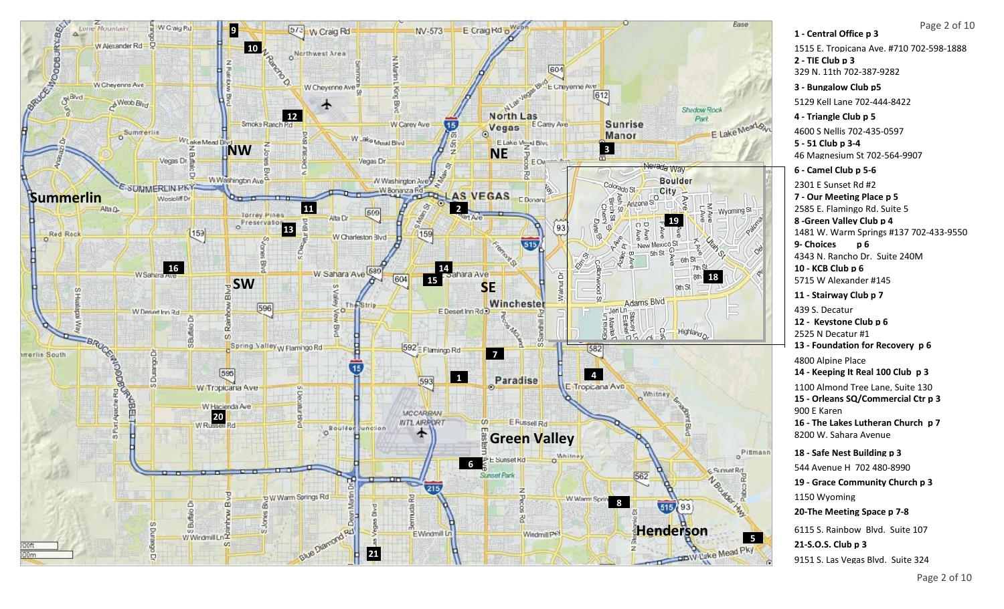

## Page 2 of 10

**1 - Central Office p 3 14 - Keeping It Real 100 Club p 3 2 - TIE Club p 3 3 - Bungalow Club p5 4 - Triangle Club p 5 5 - 51 Club p 3-4 6 - Camel Club p 5-6 7 - Our Meeting Place p 5 10 - KCB Club p 6 11 - Stairway Club p 7 15 - Orleans SQ/Commercial Ctr p 3 8 -Green Valley Club p 4** 1515 E. Tropicana Ave. #710 702-598-1888 329 N. 11th 702-387-9282 5129 Kell Lane 702-444-8422 4600 S Nellis 702-435-0597 46 Magnesium St 702-564-9907 2301 E Sunset Rd #2 2585 E. Flamingo Rd. Suite 5 1481 W. Warm Springs #137 702-433-9550 5715 W Alexander #145 439 S. Decatur 1100 Almond Tree Lane, Suite 130 900 E Karen **16 - The Lakes Lutheran Church p 7** 8200 W. Sahara Avenue **18 - Safe Nest Building p 3** 544 Avenue H 702 480-8990 **19 - Grace Community Church p 3** 1150 Wyoming **12 - Keystone Club p 6** 2525 N Decatur #1 **9- Choices p 6**  4343 N. Rancho Dr. Suite 240M **20-The Meeting Space p 7-8 13 - Foundation for Recovery p 6** 4800 Alpine Place

6115 S. Rainbow Blvd. Suite 107 **21-S.O.S. Club p 3** 9151 S. Las Vegas Blvd. Suite 324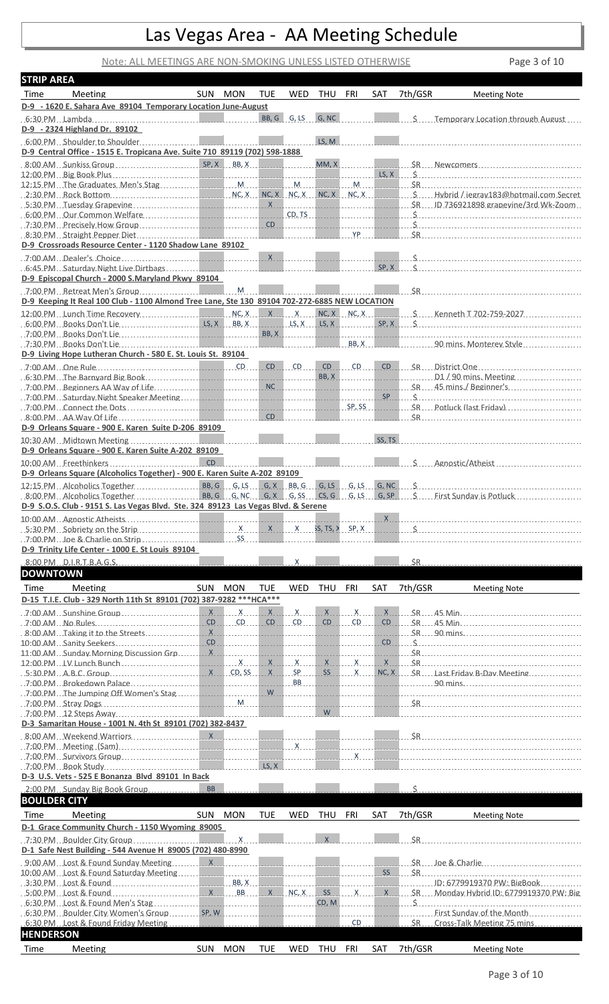# Las Vegas Area - AA Meeting Schedule

### Note: ALL MEETINGS ARE NON-SMOKING UNLESS LISTED OTHERWISE Page 3 of 10

| <b>STRIP AREA</b>   |                                                                                                                                                                                                                                                                                                                                                                                |           |                |            |                   |              |                                            |        |         |                                                                                                                                                                                                                                                       |
|---------------------|--------------------------------------------------------------------------------------------------------------------------------------------------------------------------------------------------------------------------------------------------------------------------------------------------------------------------------------------------------------------------------|-----------|----------------|------------|-------------------|--------------|--------------------------------------------|--------|---------|-------------------------------------------------------------------------------------------------------------------------------------------------------------------------------------------------------------------------------------------------------|
| Time                | Meeting                                                                                                                                                                                                                                                                                                                                                                        | SUN MON   |                | <b>TUE</b> | <b>WED</b>        | THU          | FRI                                        | SAT    | 7th/GSR | <b>Meeting Note</b>                                                                                                                                                                                                                                   |
|                     | D-9 - 1620 E. Sahara Ave 89104 Temporary Location June-August                                                                                                                                                                                                                                                                                                                  |           |                |            |                   |              |                                            |        |         |                                                                                                                                                                                                                                                       |
|                     |                                                                                                                                                                                                                                                                                                                                                                                |           |                |            | BB, G G, LS G, NC |              |                                            |        |         | S.  Temporary Location through August                                                                                                                                                                                                                 |
|                     | D-9 - 2324 Highland Dr. 89102                                                                                                                                                                                                                                                                                                                                                  |           |                |            |                   |              |                                            |        |         |                                                                                                                                                                                                                                                       |
|                     |                                                                                                                                                                                                                                                                                                                                                                                |           |                |            |                   | LS, M        |                                            |        |         |                                                                                                                                                                                                                                                       |
|                     | D-9 Central Office - 1515 E. Tropicana Ave. Suite 710 89119 (702) 598-1888                                                                                                                                                                                                                                                                                                     |           |                |            |                   |              |                                            |        |         |                                                                                                                                                                                                                                                       |
|                     |                                                                                                                                                                                                                                                                                                                                                                                |           |                |            |                   |              | MM, X                                      |        |         | SR  Newcomers                                                                                                                                                                                                                                         |
|                     |                                                                                                                                                                                                                                                                                                                                                                                |           |                |            |                   |              |                                            |        |         | $LS, X \qquad S$                                                                                                                                                                                                                                      |
|                     |                                                                                                                                                                                                                                                                                                                                                                                |           |                |            |                   |              | . M.                                       |        |         |                                                                                                                                                                                                                                                       |
|                     |                                                                                                                                                                                                                                                                                                                                                                                |           |                |            |                   |              |                                            |        |         |                                                                                                                                                                                                                                                       |
|                     |                                                                                                                                                                                                                                                                                                                                                                                |           |                |            |                   |              |                                            |        |         |                                                                                                                                                                                                                                                       |
|                     | 6:00 PM Our Common Welfare Common Contract of CD, TS                                                                                                                                                                                                                                                                                                                           |           |                |            |                   |              |                                            |        |         |                                                                                                                                                                                                                                                       |
|                     |                                                                                                                                                                                                                                                                                                                                                                                |           |                |            |                   |              |                                            |        |         | $\mathbf{\hat{S}}$                                                                                                                                                                                                                                    |
|                     |                                                                                                                                                                                                                                                                                                                                                                                |           |                |            |                   |              | <b>YP</b>                                  |        |         | SR                                                                                                                                                                                                                                                    |
|                     | D-9 Crossroads Resource Center - 1120 Shadow Lane 89102                                                                                                                                                                                                                                                                                                                        |           |                |            |                   |              |                                            |        |         |                                                                                                                                                                                                                                                       |
|                     | $7:00$ AM Dealer's Choice                                                                                                                                                                                                                                                                                                                                                      |           |                |            |                   |              |                                            |        |         |                                                                                                                                                                                                                                                       |
|                     |                                                                                                                                                                                                                                                                                                                                                                                |           |                |            |                   |              |                                            | SP, X  |         |                                                                                                                                                                                                                                                       |
|                     | D-9 Episcopal Church - 2000 S.Maryland Pkwy 89104                                                                                                                                                                                                                                                                                                                              |           |                |            |                   |              |                                            |        |         |                                                                                                                                                                                                                                                       |
|                     |                                                                                                                                                                                                                                                                                                                                                                                |           |                |            |                   |              |                                            |        |         | <u>SR Sammen Sammen School (School School School School School School School School School School School School S</u>                                                                                                                                 |
|                     | D-9 Keeping It Real 100 Club - 1100 Almond Tree Lane, Ste 130 89104 702-272-6885 NEW LOCATION                                                                                                                                                                                                                                                                                  |           |                |            |                   |              |                                            |        |         |                                                                                                                                                                                                                                                       |
|                     |                                                                                                                                                                                                                                                                                                                                                                                |           |                |            |                   |              |                                            |        |         |                                                                                                                                                                                                                                                       |
|                     |                                                                                                                                                                                                                                                                                                                                                                                |           |                |            |                   |              |                                            |        |         |                                                                                                                                                                                                                                                       |
|                     |                                                                                                                                                                                                                                                                                                                                                                                |           |                |            | <b>BB, X</b>      |              |                                            |        |         |                                                                                                                                                                                                                                                       |
|                     |                                                                                                                                                                                                                                                                                                                                                                                |           |                |            |                   |              |                                            |        |         |                                                                                                                                                                                                                                                       |
|                     | D-9 Living Hope Lutheran Church - 580 E. St. Louis St. 89104                                                                                                                                                                                                                                                                                                                   |           |                |            |                   |              |                                            |        |         |                                                                                                                                                                                                                                                       |
|                     |                                                                                                                                                                                                                                                                                                                                                                                |           |                |            | $CD$ $CD$ $ID$    |              |                                            |        |         | $CD \t CD \t CD \t CD \t CD \t 0$                                                                                                                                                                                                                     |
|                     | 6:30 PM The Barnyard Big Book                                                                                                                                                                                                                                                                                                                                                  |           |                |            |                   | BB, X        |                                            |        |         |                                                                                                                                                                                                                                                       |
|                     |                                                                                                                                                                                                                                                                                                                                                                                |           |                |            |                   |              |                                            |        |         | SR 45 mins./ Beginner's                                                                                                                                                                                                                               |
|                     |                                                                                                                                                                                                                                                                                                                                                                                |           |                |            |                   |              |                                            |        |         |                                                                                                                                                                                                                                                       |
|                     |                                                                                                                                                                                                                                                                                                                                                                                |           |                |            |                   |              | SP, SS                                     |        |         | SR  Potluck (last Friday)                                                                                                                                                                                                                             |
|                     |                                                                                                                                                                                                                                                                                                                                                                                |           |                | CD         |                   |              |                                            |        |         | $S_{\rm R}$                                                                                                                                                                                                                                           |
|                     | D-9 Orleans Square - 900 E. Karen Suite D-206 89109                                                                                                                                                                                                                                                                                                                            |           |                |            |                   |              |                                            |        |         |                                                                                                                                                                                                                                                       |
|                     | 10:30 AM. Midtown Meeting                                                                                                                                                                                                                                                                                                                                                      |           |                |            |                   |              |                                            | SS, TS |         |                                                                                                                                                                                                                                                       |
|                     | D-9 Orleans Square - 900 E. Karen Suite A-202 89109                                                                                                                                                                                                                                                                                                                            |           |                |            |                   |              |                                            |        |         |                                                                                                                                                                                                                                                       |
|                     |                                                                                                                                                                                                                                                                                                                                                                                | CD        |                |            |                   |              | <b>THE RESIDENCE OF PERSONAL PROPERTY.</b> |        |         | S Agnostic/Atheist                                                                                                                                                                                                                                    |
|                     | D-9 Orleans Square (Alcoholics Together) - 900 E. Karen Suite A-202 89109                                                                                                                                                                                                                                                                                                      |           |                |            |                   |              |                                            |        |         |                                                                                                                                                                                                                                                       |
|                     |                                                                                                                                                                                                                                                                                                                                                                                |           |                |            |                   |              |                                            |        |         |                                                                                                                                                                                                                                                       |
|                     |                                                                                                                                                                                                                                                                                                                                                                                |           |                |            |                   |              |                                            |        |         | 8:00 PM Alcoholics Together entertainment BB, G G, NC G, X G, SS CS, G G, LS G, SP S First Sunday is Potluck                                                                                                                                          |
|                     | D-9 S.O.S. Club - 9151 S. Las Vegas Blvd. Ste. 324 89123 Las Vegas Blvd. & Serene                                                                                                                                                                                                                                                                                              |           |                |            |                   |              |                                            |        |         |                                                                                                                                                                                                                                                       |
|                     |                                                                                                                                                                                                                                                                                                                                                                                |           |                |            |                   |              |                                            |        |         |                                                                                                                                                                                                                                                       |
|                     |                                                                                                                                                                                                                                                                                                                                                                                |           |                |            |                   |              |                                            |        |         |                                                                                                                                                                                                                                                       |
|                     |                                                                                                                                                                                                                                                                                                                                                                                |           |                |            |                   |              |                                            |        |         |                                                                                                                                                                                                                                                       |
|                     | $.7:00 \text{ PM}$ . Loe & Charlie on Strip                                                                                                                                                                                                                                                                                                                                    |           | SS             |            |                   |              |                                            |        |         |                                                                                                                                                                                                                                                       |
|                     | D-9 Trinity Life Center - 1000 E. St Louis 89104                                                                                                                                                                                                                                                                                                                               |           |                |            |                   |              |                                            |        |         |                                                                                                                                                                                                                                                       |
|                     | 8:00 PM D.I.R.T.B.A.G.S.                                                                                                                                                                                                                                                                                                                                                       |           |                |            | X                 |              |                                            |        |         |                                                                                                                                                                                                                                                       |
| <b>DOWNTOWN</b>     |                                                                                                                                                                                                                                                                                                                                                                                |           |                |            |                   |              |                                            |        |         |                                                                                                                                                                                                                                                       |
| Time                |                                                                                                                                                                                                                                                                                                                                                                                |           |                |            |                   |              |                                            |        |         |                                                                                                                                                                                                                                                       |
|                     | Meeting                                                                                                                                                                                                                                                                                                                                                                        | SUN MON   |                | <b>TUE</b> | WED               | THU          | FRI                                        | SAT    | 7th/GSR | <b>Meeting Note</b>                                                                                                                                                                                                                                   |
|                     | D-15 T.I.E. Club - 329 North 11th St 89101 (702) 387-9282 *** HCA***                                                                                                                                                                                                                                                                                                           |           |                |            |                   |              |                                            |        |         |                                                                                                                                                                                                                                                       |
|                     | $\overline{X}$ :00 AM Sunshine Group $\overline{X}$ x x x x x x x x x                                                                                                                                                                                                                                                                                                          |           |                |            |                   |              | $\overline{X}$                             | X      |         |                                                                                                                                                                                                                                                       |
|                     | $\overline{CD}$ CD $\overline{CD}$ CD $\overline{CD}$ CD $\overline{CD}$ CD $\overline{CD}$ CD $\overline{CD}$ CD $\overline{CD}$                                                                                                                                                                                                                                              |           |                |            |                   |              |                                            |        |         | $CD \t S R \t45 \t Min.$                                                                                                                                                                                                                              |
|                     |                                                                                                                                                                                                                                                                                                                                                                                |           |                |            |                   |              |                                            | .      |         | $SR = 90 \, \text{mins}$                                                                                                                                                                                                                              |
|                     |                                                                                                                                                                                                                                                                                                                                                                                |           |                |            |                   |              |                                            |        |         | $CD \t S$                                                                                                                                                                                                                                             |
|                     |                                                                                                                                                                                                                                                                                                                                                                                |           |                |            |                   |              |                                            | .      |         |                                                                                                                                                                                                                                                       |
|                     | $\overline{X}$ CD, SS $\overline{S}$ $\overline{S}$ $\overline{S}$ $\overline{S}$ $\overline{S}$ $\overline{S}$ $\overline{S}$ $\overline{S}$ $\overline{S}$ $\overline{S}$ $\overline{S}$ $\overline{S}$ $\overline{S}$ $\overline{S}$ $\overline{S}$ $\overline{S}$ $\overline{S}$ $\overline{S}$ $\overline{S}$ $\overline{S}$ $\overline{S}$ $\overline{S}$ $\overline{S}$ |           |                |            |                   |              |                                            |        |         |                                                                                                                                                                                                                                                       |
|                     |                                                                                                                                                                                                                                                                                                                                                                                |           |                |            |                   |              |                                            |        |         | NC, X SR Last Friday B-Day Meeting                                                                                                                                                                                                                    |
|                     | 7:00 PM The Jumping Off Women's Stag                                                                                                                                                                                                                                                                                                                                           |           |                |            |                   |              |                                            |        |         | <u> W W 2000 - 2000 - 2000 - 2000 - 2000 - 2000 - 2000 - 2000 - 2000 - 2000 - 2000 - 2000 - 2000 - 2000 - 2000 - 20</u>                                                                                                                               |
|                     |                                                                                                                                                                                                                                                                                                                                                                                |           |                |            |                   |              |                                            |        |         |                                                                                                                                                                                                                                                       |
|                     |                                                                                                                                                                                                                                                                                                                                                                                |           |                |            |                   | <b>W</b>     |                                            |        |         |                                                                                                                                                                                                                                                       |
|                     | D-3 Samaritan House - 1001 N. 4th St 89101 (702) 382-8437                                                                                                                                                                                                                                                                                                                      |           |                |            |                   |              |                                            |        |         |                                                                                                                                                                                                                                                       |
|                     | 8:00 AM Weekend Warriors Material Material American Material Material                                                                                                                                                                                                                                                                                                          |           |                |            |                   |              |                                            |        |         | $S_R$ and $S_R$ and $S_R$ and $S_R$ and $S_R$ and $S_R$ and $S_R$ and $S_R$ and $S_R$ and $S_R$ and $S_R$ and $S_R$ and $S_R$ and $S_R$ and $S_R$ and $S_R$ and $S_R$ and $S_R$ and $S_R$ and $S_R$ and $S_R$ and $S_R$ and $S_R$ and $S_R$ and $S_R$ |
|                     | 7:00 PM Meeting (Sam) contact the contract of the contract of the contract of the contract of the contract of the contract of the contract of the contract of the contract of the contract of the contract of the contract of                                                                                                                                                  |           |                |            |                   |              | <u>.</u><br>.                              |        |         |                                                                                                                                                                                                                                                       |
|                     |                                                                                                                                                                                                                                                                                                                                                                                |           |                |            |                   |              |                                            |        |         |                                                                                                                                                                                                                                                       |
|                     |                                                                                                                                                                                                                                                                                                                                                                                |           |                |            |                   |              |                                            |        |         |                                                                                                                                                                                                                                                       |
|                     | D-3 U.S. Vets - 525 E Bonanza Blvd 89101 In Back                                                                                                                                                                                                                                                                                                                               |           |                |            |                   |              |                                            |        |         |                                                                                                                                                                                                                                                       |
|                     | 2:00 PM Sunday Big Book Group                                                                                                                                                                                                                                                                                                                                                  | <b>BB</b> |                |            |                   |              |                                            |        | .Ś.     |                                                                                                                                                                                                                                                       |
| <b>BOULDER CITY</b> |                                                                                                                                                                                                                                                                                                                                                                                |           |                |            |                   |              |                                            |        |         |                                                                                                                                                                                                                                                       |
|                     |                                                                                                                                                                                                                                                                                                                                                                                |           |                |            |                   |              |                                            |        |         |                                                                                                                                                                                                                                                       |
| Time                | <b>Meeting</b>                                                                                                                                                                                                                                                                                                                                                                 | SUN MON   |                | <b>TUE</b> | WED               | THU          | FRI                                        | SAT    | 7th/GSR | <b>Meeting Note</b>                                                                                                                                                                                                                                   |
|                     | D-1 Grace Community Church - 1150 Wyoming 89005                                                                                                                                                                                                                                                                                                                                |           |                |            |                   |              |                                            |        |         |                                                                                                                                                                                                                                                       |
|                     | 7:30 PM Boulder City Group                                                                                                                                                                                                                                                                                                                                                     |           | $\overline{X}$ |            |                   | $\mathsf{X}$ |                                            |        |         |                                                                                                                                                                                                                                                       |
|                     | D-1 Safe Nest Building - 544 Avenue H 89005 (702) 480-8990                                                                                                                                                                                                                                                                                                                     |           |                |            |                   |              |                                            |        |         |                                                                                                                                                                                                                                                       |
|                     |                                                                                                                                                                                                                                                                                                                                                                                |           |                |            |                   |              |                                            |        |         |                                                                                                                                                                                                                                                       |
|                     |                                                                                                                                                                                                                                                                                                                                                                                |           |                |            | .                 |              |                                            |        |         | $SS = SR$                                                                                                                                                                                                                                             |
|                     |                                                                                                                                                                                                                                                                                                                                                                                |           |                |            |                   |              |                                            |        |         | $SR$ loe & Charlie                                                                                                                                                                                                                                    |
|                     |                                                                                                                                                                                                                                                                                                                                                                                |           |                |            |                   |              |                                            |        |         |                                                                                                                                                                                                                                                       |
|                     | 6:30 PM Lost & Found Men's Stag                                                                                                                                                                                                                                                                                                                                                |           |                |            |                   |              |                                            |        |         | CD, M                                                                                                                                                                                                                                                 |
|                     | 6:30 PM Boulder City Women's Group SP, W                                                                                                                                                                                                                                                                                                                                       |           |                |            |                   |              |                                            |        |         | First Sunday of the Month                                                                                                                                                                                                                             |
|                     | 6:30 PM Lost & Found Friday Meeting.                                                                                                                                                                                                                                                                                                                                           |           |                |            |                   |              | CD                                         |        | SR.     | Cross-Talk Meeting 75 mins.                                                                                                                                                                                                                           |
| <b>HENDERSON</b>    | Meeting                                                                                                                                                                                                                                                                                                                                                                        | SUN MON   |                |            |                   | THU          | FRI                                        |        | 7th/GSR |                                                                                                                                                                                                                                                       |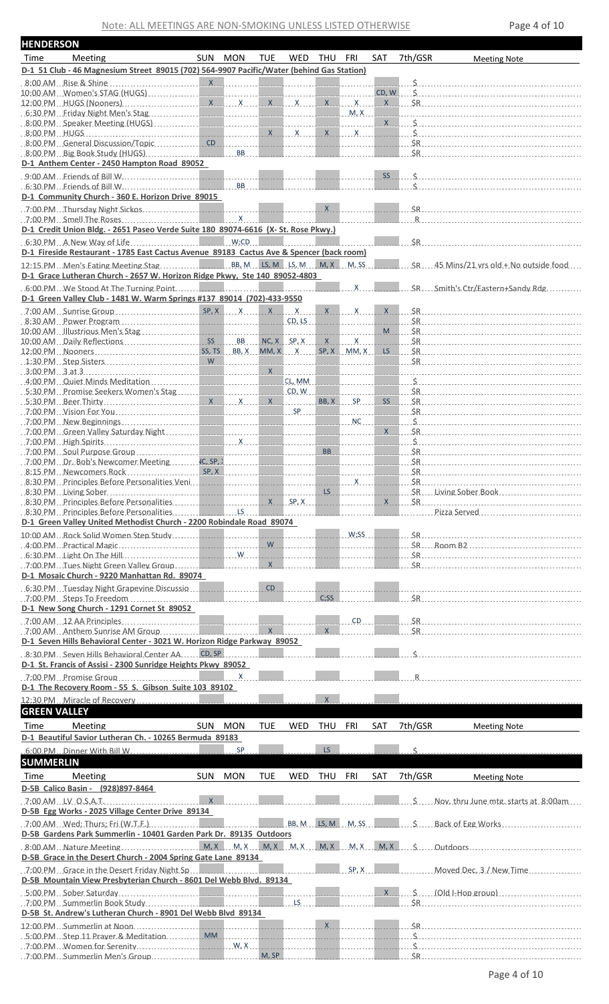Note: ALL MEETINGS ARE NON-SMOKING UNLESS LISTED OTHERWISE Page 4 of 10

| <b>HENDERSON</b>    |                                                                                                                                                                                                                                |         |            |            |                 |                                                                                                                            |                  |         |                                                                                                                                                                                                                                                           |
|---------------------|--------------------------------------------------------------------------------------------------------------------------------------------------------------------------------------------------------------------------------|---------|------------|------------|-----------------|----------------------------------------------------------------------------------------------------------------------------|------------------|---------|-----------------------------------------------------------------------------------------------------------------------------------------------------------------------------------------------------------------------------------------------------------|
| Time                | Meeting                                                                                                                                                                                                                        | SUN MON | <b>TUE</b> | WED        | THU FRI         |                                                                                                                            | <b>SAT</b>       | 7th/GSR | <b>Meeting Note</b>                                                                                                                                                                                                                                       |
|                     | D-1 51 Club - 46 Magnesium Street 89015 (702) 564-9907 Pacific/Water (behind Gas Station)                                                                                                                                      |         |            |            |                 |                                                                                                                            |                  |         |                                                                                                                                                                                                                                                           |
|                     |                                                                                                                                                                                                                                |         |            |            |                 |                                                                                                                            | <u>.</u>         |         |                                                                                                                                                                                                                                                           |
|                     |                                                                                                                                                                                                                                |         |            |            |                 |                                                                                                                            |                  |         | $X = S R$                                                                                                                                                                                                                                                 |
|                     |                                                                                                                                                                                                                                |         |            |            |                 |                                                                                                                            | <b>Contract</b>  |         |                                                                                                                                                                                                                                                           |
|                     | 8:00 PM Speaker Meeting (HUGS) [19] All Contract Contract Contract Contract Contract Contract Contract Contract Contract Contract Contract Contract Contract Contract Contract Contract Contract Contract Contract Contract Co |         |            |            |                 |                                                                                                                            |                  |         | $X = S$                                                                                                                                                                                                                                                   |
|                     |                                                                                                                                                                                                                                |         |            |            |                 |                                                                                                                            |                  |         |                                                                                                                                                                                                                                                           |
|                     | 8:00 PM General Discussion/Topic CD CD CD CD CO<br>8:00 PM Big Book Study (HUGS)                                                                                                                                               |         |            |            |                 |                                                                                                                            |                  |         | $S_{\rm R}$                                                                                                                                                                                                                                               |
|                     | D-1 Anthem Center - 2450 Hampton Road 89052                                                                                                                                                                                    |         |            |            |                 |                                                                                                                            |                  |         |                                                                                                                                                                                                                                                           |
|                     |                                                                                                                                                                                                                                |         |            |            |                 |                                                                                                                            |                  |         | $SS$ $S$                                                                                                                                                                                                                                                  |
|                     | 6:30 PM Friends of Bill W.                                                                                                                                                                                                     |         |            |            |                 |                                                                                                                            |                  |         | $\zeta$ and $\zeta$                                                                                                                                                                                                                                       |
|                     | D-1 Community Church - 360 E. Horizon Drive 89015                                                                                                                                                                              |         |            |            |                 |                                                                                                                            |                  |         |                                                                                                                                                                                                                                                           |
|                     |                                                                                                                                                                                                                                |         |            |            |                 | X                                                                                                                          |                  |         |                                                                                                                                                                                                                                                           |
|                     | D-1 Credit Union Bldg. - 2651 Paseo Verde Suite 180 89074-6616 (X- St. Rose Pkwy.)                                                                                                                                             |         |            |            |                 |                                                                                                                            |                  |         | $R \sim 1$                                                                                                                                                                                                                                                |
|                     |                                                                                                                                                                                                                                |         |            |            |                 |                                                                                                                            |                  |         |                                                                                                                                                                                                                                                           |
|                     | D-1 Fireside Restaurant - 1785 East Cactus Avenue 89183 Cactus Ave & Spencer (back room)                                                                                                                                       |         |            |            |                 |                                                                                                                            |                  |         |                                                                                                                                                                                                                                                           |
|                     |                                                                                                                                                                                                                                |         |            |            |                 |                                                                                                                            |                  |         | SR. 45 Mins/21 vrs old + No outside food                                                                                                                                                                                                                  |
|                     | D-1 Grace Lutheran Church - 2657 W. Horizon Ridge Pkwy, Ste 140 89052-4803                                                                                                                                                     |         |            |            |                 |                                                                                                                            |                  |         |                                                                                                                                                                                                                                                           |
|                     | 6:00 PM We Stood At The Turning Point                                                                                                                                                                                          |         |            |            |                 | $\mathsf{X}$ . The set of $\mathsf{X}$ and $\mathsf{X}$ and $\mathsf{X}$ are set of $\mathsf{X}$ . The set of $\mathsf{X}$ |                  |         | SR  Smith's Ctr/Eastern+Sandy Rdg                                                                                                                                                                                                                         |
|                     | D-1 Green Valley Club - 1481 W. Warm Springs #137 89014 (702)-433-9550                                                                                                                                                         |         |            |            |                 |                                                                                                                            |                  |         |                                                                                                                                                                                                                                                           |
|                     |                                                                                                                                                                                                                                |         |            |            |                 |                                                                                                                            | X                |         |                                                                                                                                                                                                                                                           |
|                     | 8:30 AM Power Program                                                                                                                                                                                                          |         |            | CD, LS     |                 |                                                                                                                            | . .              |         | $M = S R$                                                                                                                                                                                                                                                 |
|                     |                                                                                                                                                                                                                                |         |            |            |                 | ------------<br>$X$ $X$                                                                                                    |                  |         |                                                                                                                                                                                                                                                           |
|                     |                                                                                                                                                                                                                                |         |            |            |                 |                                                                                                                            |                  |         | SR                                                                                                                                                                                                                                                        |
|                     |                                                                                                                                                                                                                                |         |            |            |                 |                                                                                                                            |                  |         | <u> 2008 - 2008 - 2008 - 2008 - 2008 - 3008 - 3008 - 3008 - 3008 - 3008 - 3008 - 3008 - 3008 - 3008 - 3008 - 300</u>                                                                                                                                      |
|                     | $3:00 \text{ PM } 3$ at 3                                                                                                                                                                                                      |         |            |            |                 |                                                                                                                            |                  |         |                                                                                                                                                                                                                                                           |
|                     | $.530$ PM $.$ Promise Seekers Women's Stag $.$ CD, W.                                                                                                                                                                          |         |            |            |                 | <u> 1111111111111111111111111111</u>                                                                                       |                  |         |                                                                                                                                                                                                                                                           |
|                     |                                                                                                                                                                                                                                |         |            | <u>.</u>   |                 | BB, X SP                                                                                                                   | SS               |         |                                                                                                                                                                                                                                                           |
|                     |                                                                                                                                                                                                                                |         |            |            |                 | <u>.</u> .                                                                                                                 |                  |         |                                                                                                                                                                                                                                                           |
|                     |                                                                                                                                                                                                                                |         |            |            |                 |                                                                                                                            |                  |         |                                                                                                                                                                                                                                                           |
|                     |                                                                                                                                                                                                                                |         |            |            |                 | -----------                                                                                                                | $X$ <sub>1</sub> |         |                                                                                                                                                                                                                                                           |
|                     |                                                                                                                                                                                                                                |         |            |            |                 | <b>BB B B B</b>                                                                                                            |                  |         |                                                                                                                                                                                                                                                           |
|                     |                                                                                                                                                                                                                                |         |            |            |                 | <u> 1999 - Johann Stoff, mars 199</u>                                                                                      |                  |         |                                                                                                                                                                                                                                                           |
|                     | 8:15 PM Newcomers Rock                                                                                                                                                                                                         | SP, X   |            |            |                 |                                                                                                                            |                  |         |                                                                                                                                                                                                                                                           |
|                     |                                                                                                                                                                                                                                |         |            |            |                 |                                                                                                                            |                  |         |                                                                                                                                                                                                                                                           |
|                     |                                                                                                                                                                                                                                |         |            |            |                 |                                                                                                                            |                  |         | SR Living Sober Book                                                                                                                                                                                                                                      |
|                     |                                                                                                                                                                                                                                |         |            |            |                 |                                                                                                                            |                  |         |                                                                                                                                                                                                                                                           |
|                     | D-1 Green Valley United Methodist Church - 2200 Robindale Road 89074                                                                                                                                                           |         |            |            |                 |                                                                                                                            |                  |         |                                                                                                                                                                                                                                                           |
|                     | 10:00 AM Rock Solid Women Step Study                                                                                                                                                                                           |         |            |            |                 | W;SS                                                                                                                       |                  |         |                                                                                                                                                                                                                                                           |
|                     |                                                                                                                                                                                                                                |         | <b>W</b>   |            |                 |                                                                                                                            |                  |         |                                                                                                                                                                                                                                                           |
|                     | $6:30$ PM Light On The Hill $\ldots$ . $\ldots$ . $\ldots$ $\ldots$ $\ldots$ $\ldots$                                                                                                                                          |         |            |            |                 |                                                                                                                            |                  |         |                                                                                                                                                                                                                                                           |
|                     | 7:00 PM Tues Night Green Valley Group                                                                                                                                                                                          |         | X          |            |                 |                                                                                                                            |                  |         |                                                                                                                                                                                                                                                           |
|                     | D-1 Mosaic Church - 9220 Manhattan Rd. 89074                                                                                                                                                                                   |         |            |            |                 |                                                                                                                            |                  |         |                                                                                                                                                                                                                                                           |
|                     | .6:30 PM. Tuesday Night Grapevine Discussio                                                                                                                                                                                    |         | CD         |            | C <sub>55</sub> |                                                                                                                            |                  |         | $SR$ and $SR$ and $SR$ and $SR$ and $SR$ and $SR$ and $SR$ and $SR$ and $SR$ and $SR$ and $SR$ and $SR$ and $SR$ and $SR$ and $SR$ and $SR$ and $SR$ and $SR$ and $SR$ and $SR$ and $SR$ and $SR$ and $SR$ and $SR$ and $SR$ and $SR$ and $SR$ and $SR$ a |
|                     | $.700$ PM $.$ Steps To Freedom $.$<br>D-1 New Song Church - 1291 Cornet St 89052                                                                                                                                               |         |            |            |                 |                                                                                                                            |                  |         |                                                                                                                                                                                                                                                           |
|                     |                                                                                                                                                                                                                                |         |            |            |                 | CD                                                                                                                         |                  |         |                                                                                                                                                                                                                                                           |
|                     |                                                                                                                                                                                                                                |         |            |            | $\overline{X}$  |                                                                                                                            |                  |         | SR                                                                                                                                                                                                                                                        |
|                     | D-1 Seven Hills Behavioral Center - 3021 W. Horizon Ridge Parkway 89052                                                                                                                                                        |         |            |            |                 |                                                                                                                            |                  |         |                                                                                                                                                                                                                                                           |
|                     | 8:30 PM Seven Hills Behavioral Center AA CD, SP                                                                                                                                                                                |         |            |            |                 |                                                                                                                            |                  |         |                                                                                                                                                                                                                                                           |
|                     | D-1 St. Francis of Assisi - 2300 Sunridge Heights Pkwy 89052                                                                                                                                                                   |         |            |            |                 |                                                                                                                            |                  |         |                                                                                                                                                                                                                                                           |
|                     |                                                                                                                                                                                                                                |         |            |            |                 |                                                                                                                            |                  |         |                                                                                                                                                                                                                                                           |
|                     | D-1 The Recovery Room - 55 S. Gibson Suite 103 89102                                                                                                                                                                           |         |            |            |                 |                                                                                                                            |                  |         |                                                                                                                                                                                                                                                           |
|                     | 12:30 PM Miracle of Recovery                                                                                                                                                                                                   |         |            |            | $\mathsf{X}$    |                                                                                                                            |                  |         |                                                                                                                                                                                                                                                           |
| <b>GREEN VALLEY</b> |                                                                                                                                                                                                                                |         |            |            |                 |                                                                                                                            |                  |         |                                                                                                                                                                                                                                                           |
| Time                | Meeting                                                                                                                                                                                                                        | SUN MON | <b>TUE</b> | <b>WED</b> | THU FRI         |                                                                                                                            | SAT              | 7th/GSR | <b>Meeting Note</b>                                                                                                                                                                                                                                       |
|                     | D-1 Beautiful Savior Lutheran Ch. - 10265 Bermuda 89183                                                                                                                                                                        |         |            |            |                 |                                                                                                                            |                  |         |                                                                                                                                                                                                                                                           |
|                     | .6:00 PM . Dinner With Bill W.                                                                                                                                                                                                 | SP      |            |            | LS              |                                                                                                                            |                  | Ś.      |                                                                                                                                                                                                                                                           |
| <b>SUMMERLIN</b>    |                                                                                                                                                                                                                                |         |            |            |                 |                                                                                                                            |                  |         |                                                                                                                                                                                                                                                           |
| Time                | Meeting                                                                                                                                                                                                                        | SUN MON | <b>TUE</b> | <b>WED</b> | THU             | FRI                                                                                                                        | SAT              | 7th/GSR | <b>Meeting Note</b>                                                                                                                                                                                                                                       |
|                     | D-5B Calico Basin - (928)897-8464                                                                                                                                                                                              |         |            |            |                 |                                                                                                                            |                  |         |                                                                                                                                                                                                                                                           |
|                     | $7:00$ AM LV 0.S.A.T.                                                                                                                                                                                                          |         |            |            |                 |                                                                                                                            |                  |         | S. Nov. thru June mtg. starts at 8:00am                                                                                                                                                                                                                   |
|                     | D-5B Egg Works - 2025 Village Center Drive 89134                                                                                                                                                                               |         |            |            |                 |                                                                                                                            |                  |         |                                                                                                                                                                                                                                                           |
|                     |                                                                                                                                                                                                                                |         |            |            |                 |                                                                                                                            |                  |         |                                                                                                                                                                                                                                                           |
|                     | D-5B Gardens Park Summerlin - 10401 Garden Park Dr. 89135 Outdoors                                                                                                                                                             |         |            |            |                 |                                                                                                                            |                  |         |                                                                                                                                                                                                                                                           |
|                     |                                                                                                                                                                                                                                |         |            |            |                 |                                                                                                                            |                  |         |                                                                                                                                                                                                                                                           |
|                     | D-5B Grace in the Desert Church - 2004 Spring Gate Lane 89134                                                                                                                                                                  |         |            |            |                 |                                                                                                                            |                  |         |                                                                                                                                                                                                                                                           |
|                     | $.7:00$ PM $.$ Grace in the Desert Friday Night Sp $.$                                                                                                                                                                         |         |            |            |                 | SP, X                                                                                                                      |                  |         | Moved Dec. 3 / New Time                                                                                                                                                                                                                                   |
|                     | D-5B Mountain View Presbyterian Church - 8601 Del Webb Blvd. 89134                                                                                                                                                             |         |            |            |                 |                                                                                                                            |                  |         |                                                                                                                                                                                                                                                           |
|                     |                                                                                                                                                                                                                                |         |            |            |                 |                                                                                                                            | X                |         | $S = [Old]$ -Hop group                                                                                                                                                                                                                                    |
|                     | D-5B St. Andrew's Lutheran Church - 8901 Del Webb Blvd 89134                                                                                                                                                                   |         |            | L.S.       |                 |                                                                                                                            |                  |         |                                                                                                                                                                                                                                                           |
|                     |                                                                                                                                                                                                                                |         |            |            | X               |                                                                                                                            |                  |         |                                                                                                                                                                                                                                                           |
|                     | 12:00 PM Summerlin at Noon                                                                                                                                                                                                     |         |            |            |                 |                                                                                                                            |                  |         | $\epsilon$ and the contract of $\epsilon$                                                                                                                                                                                                                 |
|                     |                                                                                                                                                                                                                                |         |            |            |                 |                                                                                                                            |                  |         |                                                                                                                                                                                                                                                           |
|                     |                                                                                                                                                                                                                                | W, X    |            |            |                 |                                                                                                                            |                  |         |                                                                                                                                                                                                                                                           |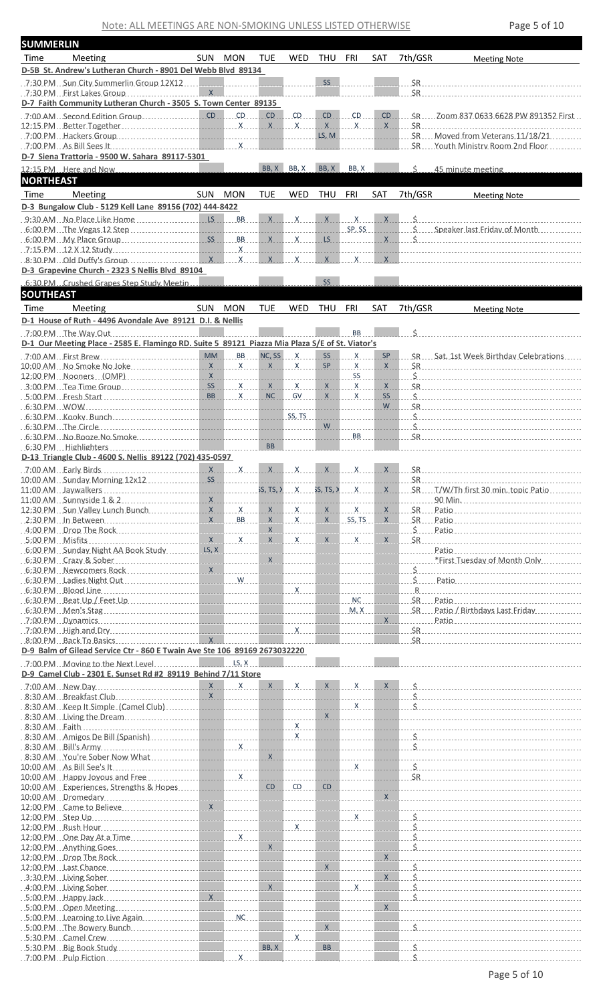| <b>SUMMERLIN</b> |                                                                                                                                                                                                                                |           |                 |            |                                                 |                    |                                                                                                                                                                                                                                |                                   |         |                                                                                                                                                                                                                                                                                                                                                                                      |
|------------------|--------------------------------------------------------------------------------------------------------------------------------------------------------------------------------------------------------------------------------|-----------|-----------------|------------|-------------------------------------------------|--------------------|--------------------------------------------------------------------------------------------------------------------------------------------------------------------------------------------------------------------------------|-----------------------------------|---------|--------------------------------------------------------------------------------------------------------------------------------------------------------------------------------------------------------------------------------------------------------------------------------------------------------------------------------------------------------------------------------------|
| Time             | Meeting                                                                                                                                                                                                                        |           | SUN MON         | TUE.       | <b>WED</b>                                      | THU                | FRI                                                                                                                                                                                                                            | SAT                               | 7th/GSR | <b>Meeting Note</b>                                                                                                                                                                                                                                                                                                                                                                  |
|                  | D-5B St. Andrew's Lutheran Church - 8901 Del Webb Blyd 89134                                                                                                                                                                   |           |                 |            |                                                 |                    |                                                                                                                                                                                                                                |                                   |         |                                                                                                                                                                                                                                                                                                                                                                                      |
|                  |                                                                                                                                                                                                                                |           |                 |            |                                                 | SS                 |                                                                                                                                                                                                                                |                                   |         |                                                                                                                                                                                                                                                                                                                                                                                      |
|                  | 7:30 PM First Lakes Group                                                                                                                                                                                                      |           |                 |            |                                                 |                    |                                                                                                                                                                                                                                |                                   | \$R     |                                                                                                                                                                                                                                                                                                                                                                                      |
|                  | D-7 Faith Community Lutheran Church - 3505 S. Town Center 89135                                                                                                                                                                |           |                 |            |                                                 |                    |                                                                                                                                                                                                                                |                                   |         |                                                                                                                                                                                                                                                                                                                                                                                      |
|                  | .7:00 AM Second Edition Group                                                                                                                                                                                                  |           |                 | CD         | $CD$                                            | CD                 | CD and the control of the control of the control of the control of the control of the control of the control of the control of the control of the control of the control of the control of the control of the control of the c | <b>CD</b>                         |         | SR.  Zoom 837 0633 6628 PW 891352 First                                                                                                                                                                                                                                                                                                                                              |
|                  |                                                                                                                                                                                                                                |           |                 |            |                                                 |                    |                                                                                                                                                                                                                                | X                                 |         | $SR$ and $SR$ and $SR$ and $SR$ and $SR$ and $SR$ and $SR$ and $SR$ and $SR$ and $SR$ and $SR$ and $SR$ and $SR$ and $SR$ and $SR$ and $SR$ and $SR$ and $SR$ and $SR$ and $SR$ and $SR$ and $SR$ and $SR$ and $SR$ and $SR$ and $SR$ and $SR$ and $SR$ a                                                                                                                            |
|                  |                                                                                                                                                                                                                                |           |                 |            |                                                 |                    | LS, M                                                                                                                                                                                                                          | .                                 |         | SR Moved from Veterans 11/18/21                                                                                                                                                                                                                                                                                                                                                      |
|                  |                                                                                                                                                                                                                                |           |                 |            |                                                 | and the control of | <u>.</u>                                                                                                                                                                                                                       |                                   |         | SR.  Youth Ministry Room 2nd Floor                                                                                                                                                                                                                                                                                                                                                   |
|                  | D-7 Siena Trattoria - 9500 W. Sahara 89117-5301                                                                                                                                                                                |           |                 |            |                                                 |                    |                                                                                                                                                                                                                                |                                   |         |                                                                                                                                                                                                                                                                                                                                                                                      |
|                  | 12:15 PM Here and Now                                                                                                                                                                                                          |           |                 |            | BB, X BB, X                                     | BB, X              | BB, X                                                                                                                                                                                                                          |                                   | Ś.      | 45 minute meeting                                                                                                                                                                                                                                                                                                                                                                    |
| <b>NORTHEAST</b> |                                                                                                                                                                                                                                |           |                 |            |                                                 |                    |                                                                                                                                                                                                                                |                                   |         |                                                                                                                                                                                                                                                                                                                                                                                      |
|                  |                                                                                                                                                                                                                                |           |                 |            |                                                 |                    |                                                                                                                                                                                                                                |                                   |         |                                                                                                                                                                                                                                                                                                                                                                                      |
| Time             | Meeting                                                                                                                                                                                                                        | SUN MON   |                 | <b>TUE</b> | WED                                             | THU                | FRI                                                                                                                                                                                                                            | <b>SAT</b>                        | 7th/GSR | <b>Meeting Note</b>                                                                                                                                                                                                                                                                                                                                                                  |
|                  | D-3 Bungalow Club - 5129 Kell Lane 89156 (702) 444-8422                                                                                                                                                                        |           |                 |            |                                                 |                    |                                                                                                                                                                                                                                |                                   |         |                                                                                                                                                                                                                                                                                                                                                                                      |
|                  |                                                                                                                                                                                                                                |           |                 |            |                                                 |                    |                                                                                                                                                                                                                                |                                   |         |                                                                                                                                                                                                                                                                                                                                                                                      |
|                  |                                                                                                                                                                                                                                |           |                 |            |                                                 |                    | SP.SS                                                                                                                                                                                                                          |                                   |         | Speaker last Friday of Month                                                                                                                                                                                                                                                                                                                                                         |
|                  | 6:00 PM My Place Group                                                                                                                                                                                                         |           | SS BB           |            | $X$ $X$                                         |                    | LS Design and the state of the state of the state of the state of the state of the state of the state of the state of the state of the state of the state of the state of the state of the state of the state of the state of  |                                   |         | $X \cup S$                                                                                                                                                                                                                                                                                                                                                                           |
|                  | 7:15 PM $12 \times 12$ Study                                                                                                                                                                                                   |           |                 | .          |                                                 |                    |                                                                                                                                                                                                                                | X                                 |         |                                                                                                                                                                                                                                                                                                                                                                                      |
|                  | D-3 Grapevine Church - 2323 S Nellis Blvd 89104                                                                                                                                                                                |           |                 |            |                                                 |                    |                                                                                                                                                                                                                                |                                   |         |                                                                                                                                                                                                                                                                                                                                                                                      |
|                  |                                                                                                                                                                                                                                |           |                 |            |                                                 | <b>SS</b>          |                                                                                                                                                                                                                                |                                   |         |                                                                                                                                                                                                                                                                                                                                                                                      |
|                  | 6:30 PM Crushed Grapes Step Study Meetin                                                                                                                                                                                       |           |                 |            |                                                 |                    |                                                                                                                                                                                                                                |                                   |         |                                                                                                                                                                                                                                                                                                                                                                                      |
| <b>SOUTHEAST</b> |                                                                                                                                                                                                                                |           |                 |            |                                                 |                    |                                                                                                                                                                                                                                |                                   |         |                                                                                                                                                                                                                                                                                                                                                                                      |
| Time             | Meeting                                                                                                                                                                                                                        | SUN MON   |                 | <b>TUE</b> | WED                                             | THU                | FRI                                                                                                                                                                                                                            | SAT                               | 7th/GSR | <b>Meeting Note</b>                                                                                                                                                                                                                                                                                                                                                                  |
|                  | D-1 House of Ruth - 4496 Avondale Ave 89121 D.I. & Nellis                                                                                                                                                                      |           |                 |            |                                                 |                    |                                                                                                                                                                                                                                |                                   |         |                                                                                                                                                                                                                                                                                                                                                                                      |
|                  |                                                                                                                                                                                                                                |           |                 |            | the contract of the contract of the contract of |                    | <b>BB</b>                                                                                                                                                                                                                      |                                   |         | $\zeta$ and $\zeta$                                                                                                                                                                                                                                                                                                                                                                  |
|                  | D-1 Our Meeting Place - 2585 E. Flamingo RD. Suite 5 89121 Piazza Mia Plaza S/E of St. Viator's                                                                                                                                |           |                 |            |                                                 |                    |                                                                                                                                                                                                                                |                                   |         |                                                                                                                                                                                                                                                                                                                                                                                      |
|                  | 7:00 AM First Brew Construction COM MM BB NC, SS X                                                                                                                                                                             |           |                 |            |                                                 |                    | $SS$ $X$                                                                                                                                                                                                                       | SP                                |         | SR. Sat. 1st Week Birthday Celebrations                                                                                                                                                                                                                                                                                                                                              |
|                  | 10:00 AM No Smoke No Joke                                                                                                                                                                                                      |           | $X$ $X$ $X$ $X$ |            |                                                 |                    | SP X                                                                                                                                                                                                                           | $X -$                             |         | $SR$ and $SR$ and $SR$ and $SR$ and $SR$ and $SR$ and $SR$ and $SR$ and $SR$ and $SR$ and $SR$ and $SR$ and $SR$ and $SR$ and $SR$ and $SR$ and $SR$ and $SR$ and $SR$ and $SR$ and $SR$ and $SR$ and $SR$ and $SR$ and $SR$ and $SR$ and $SR$ and $SR$ a                                                                                                                            |
|                  | 12:00 PM Nooners (OMP)                                                                                                                                                                                                         | X         |                 |            |                                                 |                    | SS                                                                                                                                                                                                                             |                                   |         |                                                                                                                                                                                                                                                                                                                                                                                      |
|                  |                                                                                                                                                                                                                                |           |                 |            |                                                 |                    |                                                                                                                                                                                                                                | X                                 |         |                                                                                                                                                                                                                                                                                                                                                                                      |
|                  |                                                                                                                                                                                                                                |           | BB X            | NC         | GV                                              |                    | $X$ $X$                                                                                                                                                                                                                        | SS                                |         |                                                                                                                                                                                                                                                                                                                                                                                      |
|                  |                                                                                                                                                                                                                                |           |                 |            |                                                 |                    |                                                                                                                                                                                                                                | W l                               |         | $S_{\rm R}$ and $S_{\rm R}$ are $S_{\rm R}$ and $S_{\rm R}$ are $S_{\rm R}$ and $S_{\rm R}$ are $S_{\rm R}$ and $S_{\rm R}$ are $S_{\rm R}$ and $S_{\rm R}$ are $S_{\rm R}$ and $S_{\rm R}$ are $S_{\rm R}$ and $S_{\rm R}$ are $S_{\rm R}$ and $S_{\rm R}$ are $S_{\rm R}$ and                                                                                                      |
|                  | 6:30 PM Kooky Bunch Contract Contract Contract Contract Contract Contract Contract Contract Contract Contract Contract Contract Contract Contract Contract Contract Contract Contract Contract Contract Contract Contract Cont |           |                 |            |                                                 |                    | .                                                                                                                                                                                                                              | $1 - 1 - 1 - 1 - 1$               | $\sim$  |                                                                                                                                                                                                                                                                                                                                                                                      |
|                  |                                                                                                                                                                                                                                |           |                 |            |                                                 |                    | $W$                                                                                                                                                                                                                            |                                   |         |                                                                                                                                                                                                                                                                                                                                                                                      |
|                  |                                                                                                                                                                                                                                |           |                 |            |                                                 |                    | BB                                                                                                                                                                                                                             |                                   |         | $SR$ and $SR$ and $SR$ and $SR$ and $SR$ and $SR$ and $SR$ and $SR$ and $SR$ and $SR$ and $SR$ and $SR$ and $SR$ and $SR$ and $SR$ and $SR$ and $SR$ and $SR$ and $SR$ and $SR$ and $SR$ and $SR$ and $SR$ and $SR$ and $SR$ and $SR$ and $SR$ and $SR$ a                                                                                                                            |
|                  | $6:30$ PM Highlighters $\sim$                                                                                                                                                                                                  |           |                 | <b>BB</b>  |                                                 |                    |                                                                                                                                                                                                                                |                                   |         |                                                                                                                                                                                                                                                                                                                                                                                      |
|                  | D-13 Triangle Club - 4600 S. Nellis 89122 (702) 435-0597                                                                                                                                                                       |           |                 |            |                                                 |                    |                                                                                                                                                                                                                                |                                   |         |                                                                                                                                                                                                                                                                                                                                                                                      |
|                  |                                                                                                                                                                                                                                |           | $X$ $X$         |            |                                                 |                    | $\mathsf{X}$                                                                                                                                                                                                                   |                                   |         |                                                                                                                                                                                                                                                                                                                                                                                      |
|                  | 10:00 AM Sunday Morning 12x12                                                                                                                                                                                                  | <b>SS</b> |                 |            |                                                 |                    |                                                                                                                                                                                                                                |                                   |         |                                                                                                                                                                                                                                                                                                                                                                                      |
|                  |                                                                                                                                                                                                                                |           |                 |            |                                                 |                    |                                                                                                                                                                                                                                |                                   |         |                                                                                                                                                                                                                                                                                                                                                                                      |
|                  |                                                                                                                                                                                                                                |           |                 |            |                                                 |                    |                                                                                                                                                                                                                                |                                   |         |                                                                                                                                                                                                                                                                                                                                                                                      |
|                  |                                                                                                                                                                                                                                |           |                 |            |                                                 |                    |                                                                                                                                                                                                                                |                                   |         |                                                                                                                                                                                                                                                                                                                                                                                      |
|                  |                                                                                                                                                                                                                                |           |                 |            |                                                 |                    |                                                                                                                                                                                                                                |                                   |         |                                                                                                                                                                                                                                                                                                                                                                                      |
|                  |                                                                                                                                                                                                                                |           |                 |            |                                                 |                    |                                                                                                                                                                                                                                |                                   |         |                                                                                                                                                                                                                                                                                                                                                                                      |
|                  |                                                                                                                                                                                                                                |           |                 |            |                                                 |                    |                                                                                                                                                                                                                                |                                   |         |                                                                                                                                                                                                                                                                                                                                                                                      |
|                  |                                                                                                                                                                                                                                |           |                 |            |                                                 |                    |                                                                                                                                                                                                                                |                                   |         |                                                                                                                                                                                                                                                                                                                                                                                      |
|                  |                                                                                                                                                                                                                                |           |                 |            |                                                 |                    |                                                                                                                                                                                                                                |                                   |         |                                                                                                                                                                                                                                                                                                                                                                                      |
|                  |                                                                                                                                                                                                                                |           |                 |            |                                                 |                    |                                                                                                                                                                                                                                |                                   |         |                                                                                                                                                                                                                                                                                                                                                                                      |
|                  |                                                                                                                                                                                                                                |           |                 |            |                                                 |                    |                                                                                                                                                                                                                                |                                   |         |                                                                                                                                                                                                                                                                                                                                                                                      |
|                  |                                                                                                                                                                                                                                |           |                 |            |                                                 |                    |                                                                                                                                                                                                                                | NC                                |         | $SR \dots$ Patio                                                                                                                                                                                                                                                                                                                                                                     |
|                  |                                                                                                                                                                                                                                |           |                 |            |                                                 |                    |                                                                                                                                                                                                                                | <b>Contract Contract Contract</b> |         | SR Patio / Birthdays Last Friday                                                                                                                                                                                                                                                                                                                                                     |
|                  |                                                                                                                                                                                                                                |           |                 |            |                                                 |                    |                                                                                                                                                                                                                                |                                   |         |                                                                                                                                                                                                                                                                                                                                                                                      |
|                  |                                                                                                                                                                                                                                |           |                 |            |                                                 |                    |                                                                                                                                                                                                                                |                                   |         |                                                                                                                                                                                                                                                                                                                                                                                      |
|                  | D-9 Balm of Gilead Service Ctr - 860 E Twain Ave Ste 106 89169 2673032220                                                                                                                                                      |           |                 |            |                                                 |                    |                                                                                                                                                                                                                                |                                   |         |                                                                                                                                                                                                                                                                                                                                                                                      |
|                  |                                                                                                                                                                                                                                |           |                 |            |                                                 |                    |                                                                                                                                                                                                                                |                                   |         |                                                                                                                                                                                                                                                                                                                                                                                      |
|                  | D-9 Camel Club - 2301 E. Sunset Rd #2 89119 Behind 7/11 Store                                                                                                                                                                  |           |                 |            |                                                 |                    |                                                                                                                                                                                                                                |                                   |         |                                                                                                                                                                                                                                                                                                                                                                                      |
|                  |                                                                                                                                                                                                                                |           |                 |            |                                                 |                    |                                                                                                                                                                                                                                |                                   |         | $\overline{X}$ $\overline{X}$ $\overline{X}$ $\overline{X}$ $\overline{X}$ $\overline{X}$ $\overline{X}$ $\overline{X}$ $\overline{X}$ $\overline{X}$ $\overline{X}$ $\overline{X}$ $\overline{X}$ $\overline{X}$ $\overline{X}$ $\overline{X}$ $\overline{X}$ $\overline{X}$ $\overline{X}$ $\overline{X}$ $\overline{X}$ $\overline{X}$ $\overline{X}$ $\overline{X}$ $\overline{$ |
|                  |                                                                                                                                                                                                                                |           |                 |            |                                                 |                    |                                                                                                                                                                                                                                |                                   |         |                                                                                                                                                                                                                                                                                                                                                                                      |
|                  |                                                                                                                                                                                                                                |           |                 |            |                                                 |                    |                                                                                                                                                                                                                                |                                   |         |                                                                                                                                                                                                                                                                                                                                                                                      |
|                  |                                                                                                                                                                                                                                |           |                 |            |                                                 |                    |                                                                                                                                                                                                                                |                                   |         |                                                                                                                                                                                                                                                                                                                                                                                      |
|                  |                                                                                                                                                                                                                                |           |                 |            |                                                 |                    |                                                                                                                                                                                                                                |                                   |         |                                                                                                                                                                                                                                                                                                                                                                                      |
|                  |                                                                                                                                                                                                                                |           |                 |            |                                                 |                    |                                                                                                                                                                                                                                |                                   |         |                                                                                                                                                                                                                                                                                                                                                                                      |
|                  |                                                                                                                                                                                                                                |           |                 |            |                                                 |                    |                                                                                                                                                                                                                                |                                   |         |                                                                                                                                                                                                                                                                                                                                                                                      |
|                  |                                                                                                                                                                                                                                |           |                 |            |                                                 |                    |                                                                                                                                                                                                                                |                                   |         |                                                                                                                                                                                                                                                                                                                                                                                      |
|                  |                                                                                                                                                                                                                                |           |                 |            |                                                 |                    |                                                                                                                                                                                                                                |                                   |         |                                                                                                                                                                                                                                                                                                                                                                                      |
|                  |                                                                                                                                                                                                                                |           |                 |            |                                                 |                    |                                                                                                                                                                                                                                |                                   |         | 10:00 AM Happy Joyous and Free entity of the state of the state of the state of the SR and Happy Joyous and Free                                                                                                                                                                                                                                                                     |
|                  |                                                                                                                                                                                                                                |           |                 |            |                                                 |                    |                                                                                                                                                                                                                                |                                   |         |                                                                                                                                                                                                                                                                                                                                                                                      |
|                  |                                                                                                                                                                                                                                |           |                 |            |                                                 |                    |                                                                                                                                                                                                                                |                                   |         |                                                                                                                                                                                                                                                                                                                                                                                      |
|                  |                                                                                                                                                                                                                                |           |                 |            |                                                 |                    |                                                                                                                                                                                                                                |                                   |         |                                                                                                                                                                                                                                                                                                                                                                                      |
|                  |                                                                                                                                                                                                                                |           |                 |            |                                                 |                    |                                                                                                                                                                                                                                |                                   |         |                                                                                                                                                                                                                                                                                                                                                                                      |
|                  |                                                                                                                                                                                                                                |           |                 |            |                                                 |                    |                                                                                                                                                                                                                                |                                   |         |                                                                                                                                                                                                                                                                                                                                                                                      |
|                  |                                                                                                                                                                                                                                |           |                 |            |                                                 |                    |                                                                                                                                                                                                                                |                                   |         |                                                                                                                                                                                                                                                                                                                                                                                      |
|                  |                                                                                                                                                                                                                                |           |                 |            |                                                 |                    |                                                                                                                                                                                                                                |                                   |         |                                                                                                                                                                                                                                                                                                                                                                                      |
|                  |                                                                                                                                                                                                                                |           |                 |            |                                                 |                    |                                                                                                                                                                                                                                |                                   |         |                                                                                                                                                                                                                                                                                                                                                                                      |
|                  |                                                                                                                                                                                                                                |           |                 |            |                                                 |                    |                                                                                                                                                                                                                                |                                   |         |                                                                                                                                                                                                                                                                                                                                                                                      |
|                  |                                                                                                                                                                                                                                |           |                 |            |                                                 |                    |                                                                                                                                                                                                                                |                                   |         |                                                                                                                                                                                                                                                                                                                                                                                      |
|                  |                                                                                                                                                                                                                                |           |                 |            |                                                 |                    |                                                                                                                                                                                                                                |                                   |         | $\sim$ \$                                                                                                                                                                                                                                                                                                                                                                            |
|                  |                                                                                                                                                                                                                                |           |                 |            |                                                 |                    |                                                                                                                                                                                                                                |                                   |         |                                                                                                                                                                                                                                                                                                                                                                                      |
|                  |                                                                                                                                                                                                                                |           |                 |            |                                                 |                    |                                                                                                                                                                                                                                |                                   |         |                                                                                                                                                                                                                                                                                                                                                                                      |
|                  |                                                                                                                                                                                                                                |           |                 |            |                                                 |                    |                                                                                                                                                                                                                                |                                   |         |                                                                                                                                                                                                                                                                                                                                                                                      |
|                  | 5:30 PM Camel Crew                                                                                                                                                                                                             |           |                 | BB, X      | X                                               | <b>BB</b>          |                                                                                                                                                                                                                                |                                   | Ś       |                                                                                                                                                                                                                                                                                                                                                                                      |
|                  | 5:30 PM Big Book Study<br>7:00 PM Pulp Fiction                                                                                                                                                                                 |           | $\mathsf{X}$    |            |                                                 |                    |                                                                                                                                                                                                                                |                                   | Ś.      |                                                                                                                                                                                                                                                                                                                                                                                      |
|                  |                                                                                                                                                                                                                                |           |                 |            |                                                 |                    |                                                                                                                                                                                                                                |                                   |         |                                                                                                                                                                                                                                                                                                                                                                                      |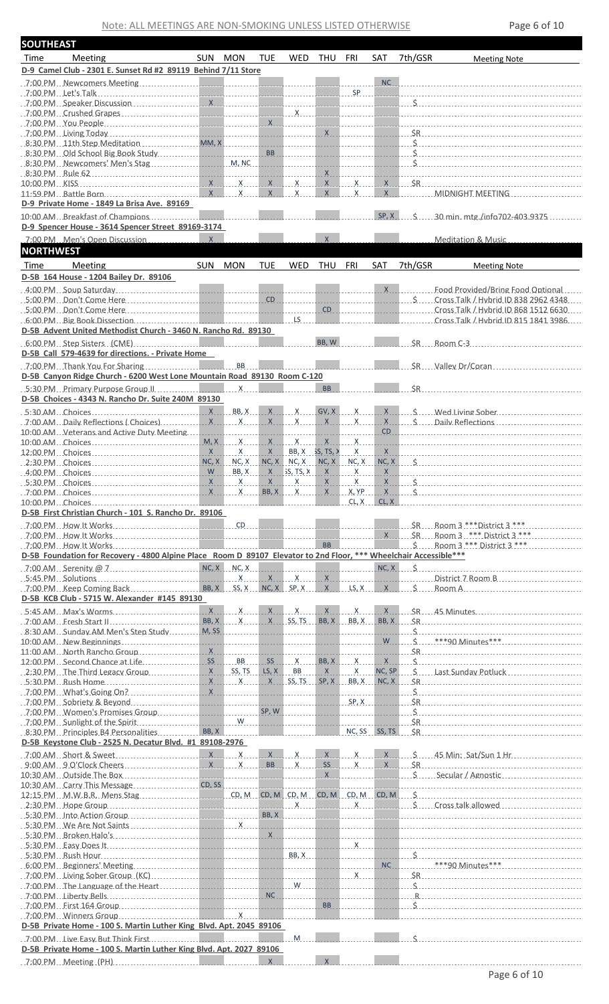| <b>SOUTHEAST</b> |                                                                                                                                                                                                                                |              |                                 |            |                                |              |              |            |                                      |                                                                                                                                                                                                                                                                                                                                              |
|------------------|--------------------------------------------------------------------------------------------------------------------------------------------------------------------------------------------------------------------------------|--------------|---------------------------------|------------|--------------------------------|--------------|--------------|------------|--------------------------------------|----------------------------------------------------------------------------------------------------------------------------------------------------------------------------------------------------------------------------------------------------------------------------------------------------------------------------------------------|
| Time             | Meeting                                                                                                                                                                                                                        | SUN MON      |                                 | <b>TUE</b> | <b>WED</b>                     | THU          | FRI          | SAT        | 7th/GSR                              | <b>Meeting Note</b>                                                                                                                                                                                                                                                                                                                          |
|                  | D-9 Camel Club - 2301 E. Sunset Rd #2 89119 Behind 7/11 Store                                                                                                                                                                  |              |                                 |            |                                |              |              |            |                                      |                                                                                                                                                                                                                                                                                                                                              |
|                  |                                                                                                                                                                                                                                |              |                                 |            |                                |              |              |            |                                      |                                                                                                                                                                                                                                                                                                                                              |
|                  |                                                                                                                                                                                                                                |              |                                 |            |                                |              | <b>SP</b>    |            |                                      | the contract of the contract of the contract of the contract of the contract of the contract of the contract of                                                                                                                                                                                                                              |
|                  |                                                                                                                                                                                                                                |              |                                 |            |                                |              |              |            |                                      |                                                                                                                                                                                                                                                                                                                                              |
|                  |                                                                                                                                                                                                                                |              |                                 |            |                                |              |              |            |                                      |                                                                                                                                                                                                                                                                                                                                              |
|                  |                                                                                                                                                                                                                                |              |                                 |            |                                |              |              |            |                                      |                                                                                                                                                                                                                                                                                                                                              |
|                  |                                                                                                                                                                                                                                |              |                                 |            |                                |              |              | <u>x</u>   |                                      | $SR$ and $SR$ and $SR$ and $SR$ and $SR$ and $SR$ and $SR$ and $SR$ and $SR$ and $SR$ and $SR$ and $SR$ and $SR$ and $SR$ and $SR$ and $SR$ and $SR$ and $SR$ and $SR$ and $SR$ and $SR$ and $SR$ and $SR$ and $SR$ and $SR$ and $SR$ and $SR$ and $SR$ a                                                                                    |
|                  |                                                                                                                                                                                                                                |              |                                 |            |                                |              |              |            |                                      |                                                                                                                                                                                                                                                                                                                                              |
|                  |                                                                                                                                                                                                                                |              |                                 |            | ______________________________ |              |              |            |                                      |                                                                                                                                                                                                                                                                                                                                              |
|                  |                                                                                                                                                                                                                                |              |                                 |            |                                | $X_{\cdots}$ |              |            |                                      |                                                                                                                                                                                                                                                                                                                                              |
|                  |                                                                                                                                                                                                                                |              |                                 |            |                                |              |              |            |                                      | $X$ $X$ $X$ $S$ R                                                                                                                                                                                                                                                                                                                            |
|                  |                                                                                                                                                                                                                                |              |                                 |            | $\mathsf{X}$                   | X            | $\mathsf{X}$ |            |                                      | X _____________ MIDNIGHT MEETING ______________________                                                                                                                                                                                                                                                                                      |
|                  | D-9 Private Home - 1849 La Brisa Ave. 89169                                                                                                                                                                                    |              |                                 |            |                                |              |              |            |                                      |                                                                                                                                                                                                                                                                                                                                              |
|                  | 10:00 AM Breakfast of Champions                                                                                                                                                                                                |              |                                 |            |                                |              |              |            |                                      | SP. X 5 30 min. mtg./info702-403.9375                                                                                                                                                                                                                                                                                                        |
|                  | D-9 Spencer House - 3614 Spencer Street 89169-3174                                                                                                                                                                             | $\mathsf{X}$ |                                 |            |                                | $\mathsf{X}$ |              |            |                                      |                                                                                                                                                                                                                                                                                                                                              |
|                  | 7:00 PM Men's Open Discussion                                                                                                                                                                                                  |              |                                 |            |                                |              |              |            |                                      | Meditation & Music                                                                                                                                                                                                                                                                                                                           |
| <b>NORTHWEST</b> |                                                                                                                                                                                                                                |              |                                 |            |                                |              |              |            |                                      |                                                                                                                                                                                                                                                                                                                                              |
| Time             | <b>Meeting</b>                                                                                                                                                                                                                 | SUN          | <b>MON</b>                      | <b>TUE</b> | WED                            | THU          | FRI          | <b>SAT</b> | 7th/GSR                              | <b>Meeting Note</b>                                                                                                                                                                                                                                                                                                                          |
|                  | D-5B 164 House - 1204 Bailey Dr. 89106                                                                                                                                                                                         |              |                                 |            |                                |              |              |            |                                      |                                                                                                                                                                                                                                                                                                                                              |
|                  |                                                                                                                                                                                                                                |              |                                 |            |                                |              |              |            | $\mathsf{X}$                         | Food Provided/Bring Food Optional                                                                                                                                                                                                                                                                                                            |
|                  |                                                                                                                                                                                                                                |              |                                 |            |                                |              |              |            |                                      | S  Cross Talk / Hybrid ID 838 2962 4348.                                                                                                                                                                                                                                                                                                     |
|                  |                                                                                                                                                                                                                                |              |                                 |            |                                |              | CD           |            | .<br>the contract of the contract of | Cross Talk / Hybrid ID 868 1512 6630<br>Cross Talk / Hybrid ID 815 1841 3986                                                                                                                                                                                                                                                                 |
|                  | D-5B Advent United Methodist Church - 3460 N. Rancho Rd. 89130                                                                                                                                                                 |              |                                 |            |                                |              |              |            |                                      |                                                                                                                                                                                                                                                                                                                                              |
|                  | 6:00 PM Step Sisters (CME)                                                                                                                                                                                                     |              |                                 |            |                                | BB, W        |              |            |                                      | $SR$ Room C-3                                                                                                                                                                                                                                                                                                                                |
|                  | D-5B Call 579-4639 for directions. - Private Home                                                                                                                                                                              |              |                                 |            |                                |              |              |            |                                      |                                                                                                                                                                                                                                                                                                                                              |
|                  |                                                                                                                                                                                                                                |              |                                 |            |                                |              |              |            |                                      | SR Valley Dr/Coran                                                                                                                                                                                                                                                                                                                           |
|                  | D-5B Canyon Ridge Church - 6200 West Lone Mountain Road 89130 Room C-120                                                                                                                                                       |              |                                 |            |                                |              |              |            |                                      |                                                                                                                                                                                                                                                                                                                                              |
|                  | 5:30 PM Primary Purpose Group II.                                                                                                                                                                                              |              | $\overline{X}$                  |            |                                | <b>BB</b>    |              |            |                                      | SR                                                                                                                                                                                                                                                                                                                                           |
|                  | D-5B Choices - 4343 N. Rancho Dr. Suite 240M 89130                                                                                                                                                                             |              |                                 |            |                                |              |              |            |                                      |                                                                                                                                                                                                                                                                                                                                              |
|                  |                                                                                                                                                                                                                                |              |                                 |            |                                |              |              |            |                                      | $X = B_1, X = C_2, X = C_3, X = C_4, X = C_5, X = C_6, X = C_7, X = C_8, X = C_7, X = C_8, X = C_9, X = C_1, X = C_1, X = C_2, X = C_1, X = C_1, X = C_2, X = C_1, X = C_1, X = C_2, X = C_1, X = C_1, X = C_2, X = C_1, X = C_2, X = C_1, X = C_2, X = C_1, X = C_2, X = C_1, X = C_2, X = C_1, X = C_2, X = C_1, X = C_2, X = C_1, X = C_$ |
|                  |                                                                                                                                                                                                                                |              |                                 |            |                                |              |              |            |                                      | <u>x x x x x x x x s contracts</u>                                                                                                                                                                                                                                                                                                           |
|                  | 10:00 AM Veterans and Active Duty Meeting                                                                                                                                                                                      |              |                                 | .          | <u> 1111111111</u>             | .            |              |            |                                      | CD                                                                                                                                                                                                                                                                                                                                           |
|                  |                                                                                                                                                                                                                                |              |                                 |            |                                |              |              |            |                                      |                                                                                                                                                                                                                                                                                                                                              |
|                  |                                                                                                                                                                                                                                |              |                                 |            |                                |              |              |            |                                      |                                                                                                                                                                                                                                                                                                                                              |
|                  | 2:30 PM Choices                                                                                                                                                                                                                |              |                                 |            |                                |              |              |            |                                      | NC, X NC, X NC, X NC, X NC, X NC, X NC, X NC, X NC, X NC, X NC, X NC, X NC, X NC, X NC, X NC, X NC, X NC, X NC,                                                                                                                                                                                                                              |
|                  | 4:00 PM Choices                                                                                                                                                                                                                |              |                                 |            |                                |              |              |            |                                      |                                                                                                                                                                                                                                                                                                                                              |
| 5:30 PM Choices  |                                                                                                                                                                                                                                | X            | $\mathsf{X}$                    | X          | $\mathsf{X}$                   | X            | $\mathsf{X}$ | X          | Ś.                                   |                                                                                                                                                                                                                                                                                                                                              |
|                  |                                                                                                                                                                                                                                |              |                                 |            |                                |              | CL, X        | CL, X      |                                      |                                                                                                                                                                                                                                                                                                                                              |
|                  | D-5B First Christian Church - 101 S. Rancho Dr. 89106                                                                                                                                                                          |              |                                 |            |                                |              |              |            |                                      |                                                                                                                                                                                                                                                                                                                                              |
|                  |                                                                                                                                                                                                                                |              |                                 |            |                                |              |              |            |                                      |                                                                                                                                                                                                                                                                                                                                              |
|                  |                                                                                                                                                                                                                                |              |                                 |            |                                |              |              |            |                                      | X SR Room 3 *** District 3 ***                                                                                                                                                                                                                                                                                                               |
|                  |                                                                                                                                                                                                                                |              |                                 |            |                                |              |              |            |                                      | BB B Room 3 *** District 3 ***                                                                                                                                                                                                                                                                                                               |
|                  | D-5B Foundation for Recovery - 4800 Alpine Place Room D 89107 Elevator to 2nd Floor, *** Wheelchair Accessible***                                                                                                              |              |                                 |            |                                |              |              |            |                                      |                                                                                                                                                                                                                                                                                                                                              |
|                  | .7:00 AM Serenity @ 7 $\ldots$ $\ldots$ $\ldots$ $\ldots$ $\ldots$ $\ldots$ $\ldots$ $\ldots$ $\ldots$ $\ldots$ $\ldots$                                                                                                       |              |                                 |            |                                |              | .            |            |                                      | $NC, X \qquad \zeta$                                                                                                                                                                                                                                                                                                                         |
|                  |                                                                                                                                                                                                                                |              |                                 |            |                                |              |              |            |                                      |                                                                                                                                                                                                                                                                                                                                              |
|                  | .7:00 PM. Keep Coming Back                                                                                                                                                                                                     |              | BB, X SS, X NC, X SP, X X LS, X |            |                                |              |              |            |                                      | $X \cup S$ Room A $\ldots$                                                                                                                                                                                                                                                                                                                   |
|                  | D-5B KCB Club - 5715 W. Alexander #145 89130                                                                                                                                                                                   |              |                                 |            |                                |              |              |            |                                      |                                                                                                                                                                                                                                                                                                                                              |
|                  |                                                                                                                                                                                                                                |              |                                 | X          | $\mathsf{X}$                   |              |              |            |                                      | <u>x x x x 5R 45 Minutes 2000 minutes x 100 minutes</u>                                                                                                                                                                                                                                                                                      |
|                  | .7:00 AM Fresh Start II<br>8:30 AM Sunday AM Men's Step Study M.SS                                                                                                                                                             |              | BB, X X X SS, TS BB, X BB, X    |            |                                |              |              |            |                                      | $BB, X \sim SR$                                                                                                                                                                                                                                                                                                                              |
|                  |                                                                                                                                                                                                                                |              |                                 |            | <u>-----------------</u>       |              |              |            |                                      | W _ _ _ _ \$ _ _ _ ***90 Minutes***                                                                                                                                                                                                                                                                                                          |
|                  | 11:00 AM North Rancho Group Network 2014 X 2014 11:00 AM North Rancho Group                                                                                                                                                    |              |                                 |            |                                |              |              |            |                                      | SR                                                                                                                                                                                                                                                                                                                                           |
|                  | 12:00 PM Second Chance at Life                                                                                                                                                                                                 |              |                                 |            |                                |              |              |            |                                      | $SS_1$ $X_2$ $BB, X_3$ $X_4$ $X_5$ $X_6$ $X_7$ $X_8$ $X_9$ $X_1$ $X_2$ $X_3$ $X_4$ $X_5$ $X_6$ $X_7$ $X_8$ $X_9$ $X_1$ $X_2$ $X_3$ $X_4$ $X_5$ $X_6$ $X_7$ $X_8$ $X_9$ $X_1$ $X_2$ $X_3$ $X_4$ $X_5$ $X_6$ $X_7$ $X_8$ $X_9$ $X_$                                                                                                            |
|                  | 2:30 PM The Third Legacy Group                                                                                                                                                                                                 |              |                                 |            | $LS, X$ BB                     |              | $X$ $X$      | NC, SP     |                                      | S Last Sunday Potluck                                                                                                                                                                                                                                                                                                                        |
|                  |                                                                                                                                                                                                                                |              |                                 |            |                                |              |              |            | $NC, X$ $\leq$ $SR$                  |                                                                                                                                                                                                                                                                                                                                              |
|                  | $\frac{1}{2}$ 7:00 PM What's Going On?                                                                                                                                                                                         |              |                                 |            |                                |              |              |            |                                      | $\zeta$                                                                                                                                                                                                                                                                                                                                      |
|                  | 7:00 PM Sobriety & Beyond Communication and The Communication of the Communication of the Communication of the                                                                                                                 |              |                                 |            |                                |              | SP, X        |            |                                      |                                                                                                                                                                                                                                                                                                                                              |
|                  | . 7:00 PM Women's Promises Group                                                                                                                                                                                               |              |                                 |            |                                |              |              |            |                                      | $\ldots$ . 7:00 PM $\ldots$ Sunlight of the Spirit $\ldots$ . $\ldots$ . $\ldots$ . With $\ldots$ . $\ldots$ . $\ldots$ . $\ldots$ . $\ldots$ . SR $\ldots$ . $\ldots$ . $\ldots$ . $\ldots$ . $\ldots$ . $\ldots$ . $\ldots$                                                                                                                |
|                  | 8:30 PM Principles B4 Personalities                                                                                                                                                                                            |              |                                 |            | .                              |              |              |            |                                      |                                                                                                                                                                                                                                                                                                                                              |
|                  | D-5B Keystone Club - 2525 N. Decatur Blvd. #1 89108-2976                                                                                                                                                                       |              |                                 |            |                                |              |              |            |                                      |                                                                                                                                                                                                                                                                                                                                              |
|                  |                                                                                                                                                                                                                                |              |                                 |            |                                |              |              |            |                                      |                                                                                                                                                                                                                                                                                                                                              |
|                  |                                                                                                                                                                                                                                |              |                                 |            |                                |              |              |            |                                      | $SS$ $X$ $X$ $SR$                                                                                                                                                                                                                                                                                                                            |
|                  |                                                                                                                                                                                                                                |              |                                 |            |                                |              |              |            |                                      |                                                                                                                                                                                                                                                                                                                                              |
|                  | 10:30 AM Carry This Message                                                                                                                                                                                                    |              | CD, SS                          |            |                                |              |              |            |                                      |                                                                                                                                                                                                                                                                                                                                              |
|                  |                                                                                                                                                                                                                                |              |                                 |            |                                |              |              |            |                                      |                                                                                                                                                                                                                                                                                                                                              |
|                  |                                                                                                                                                                                                                                |              |                                 |            |                                |              |              |            |                                      |                                                                                                                                                                                                                                                                                                                                              |
|                  | 5:30 PM Into Action Group                                                                                                                                                                                                      |              |                                 | BB, X      |                                |              |              |            |                                      |                                                                                                                                                                                                                                                                                                                                              |
|                  |                                                                                                                                                                                                                                |              |                                 |            |                                |              |              |            |                                      |                                                                                                                                                                                                                                                                                                                                              |
|                  |                                                                                                                                                                                                                                |              |                                 |            |                                |              |              |            |                                      |                                                                                                                                                                                                                                                                                                                                              |
|                  |                                                                                                                                                                                                                                |              |                                 |            | BB, X                          |              |              |            |                                      |                                                                                                                                                                                                                                                                                                                                              |
|                  |                                                                                                                                                                                                                                |              |                                 |            |                                |              |              |            | NC                                   | $***90$ Minutes $***$                                                                                                                                                                                                                                                                                                                        |
|                  |                                                                                                                                                                                                                                |              |                                 |            |                                |              | $\mathsf{X}$ |            |                                      |                                                                                                                                                                                                                                                                                                                                              |
|                  | 7:00 PM The Language of the Heart [11] The Language of the Heart [11] The Language of the Heart [11] The Language of the Heart [11] The Language of the Heart [11] The Language of the Heart [11] The Language of the Heart [1 |              |                                 |            |                                |              |              |            |                                      |                                                                                                                                                                                                                                                                                                                                              |
|                  |                                                                                                                                                                                                                                |              |                                 |            |                                |              |              |            |                                      |                                                                                                                                                                                                                                                                                                                                              |
|                  | 7:00 PM First 164 Group                                                                                                                                                                                                        |              |                                 |            |                                | <b>BB</b>    |              |            |                                      | $\mathsf{\dot{S}}$                                                                                                                                                                                                                                                                                                                           |
|                  | D-5B Private Home - 100 S. Martin Luther King Blvd. Apt. 2045 89106                                                                                                                                                            |              |                                 |            |                                |              |              |            |                                      |                                                                                                                                                                                                                                                                                                                                              |
|                  |                                                                                                                                                                                                                                |              |                                 |            |                                |              |              |            |                                      |                                                                                                                                                                                                                                                                                                                                              |
|                  | 7:00 PM. Live Easy But Think First                                                                                                                                                                                             |              |                                 |            | M                              |              |              |            | ς                                    |                                                                                                                                                                                                                                                                                                                                              |
|                  | D-5B Private Home - 100 S. Martin Luther King Blvd. Apt. 2027 89106                                                                                                                                                            |              |                                 |            |                                |              |              |            |                                      |                                                                                                                                                                                                                                                                                                                                              |
|                  |                                                                                                                                                                                                                                |              |                                 | $X_{-}$    |                                | X            |              |            |                                      |                                                                                                                                                                                                                                                                                                                                              |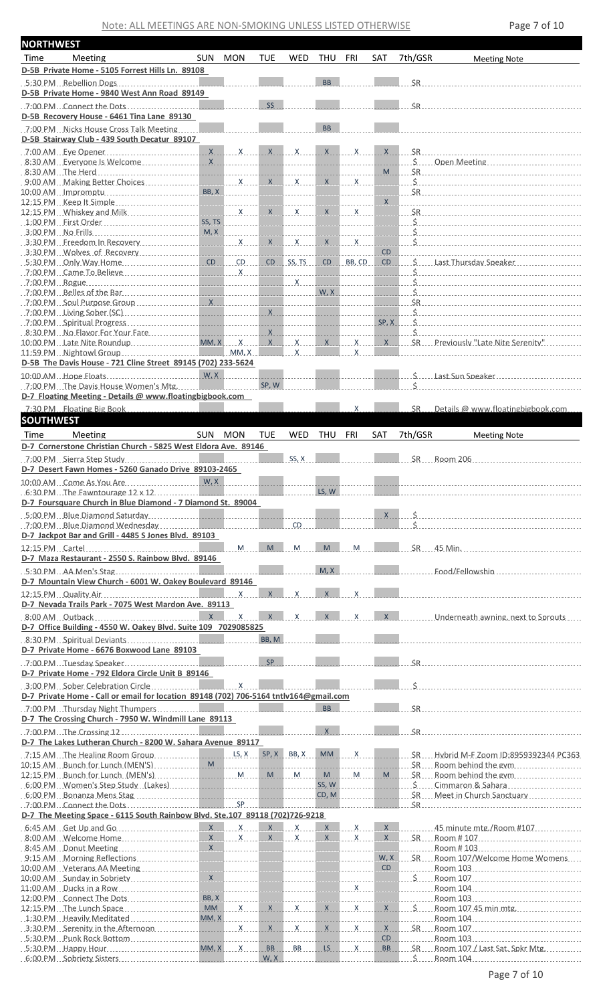| <b>NORTHWEST</b> |                                                                                                                                                                                                                                                            |             |                  |                         |                             |                  |                                                 |                 |                         |                                                                                                                                                                                                                                                                        |
|------------------|------------------------------------------------------------------------------------------------------------------------------------------------------------------------------------------------------------------------------------------------------------|-------------|------------------|-------------------------|-----------------------------|------------------|-------------------------------------------------|-----------------|-------------------------|------------------------------------------------------------------------------------------------------------------------------------------------------------------------------------------------------------------------------------------------------------------------|
| Time             | Meeting                                                                                                                                                                                                                                                    | SUN MON     |                  | <b>TUE</b>              | WED                         | THU              | FRI                                             | SAT             | 7th/GSR                 | <b>Meeting Note</b>                                                                                                                                                                                                                                                    |
|                  | D-5B Private Home - 5105 Forrest Hills Ln. 89108                                                                                                                                                                                                           |             |                  |                         |                             |                  |                                                 |                 |                         |                                                                                                                                                                                                                                                                        |
|                  | 5:30 PM Rebellion Dogs                                                                                                                                                                                                                                     |             |                  |                         |                             | <b>BB</b>        |                                                 |                 |                         | SR                                                                                                                                                                                                                                                                     |
|                  | D-5B Private Home - 9840 West Ann Road 89149                                                                                                                                                                                                               |             |                  |                         |                             |                  |                                                 |                 |                         |                                                                                                                                                                                                                                                                        |
|                  | $.7:00 \text{ PM}$ . Connect the Dots                                                                                                                                                                                                                      |             |                  | <b>SS</b>               |                             |                  |                                                 |                 |                         | SR                                                                                                                                                                                                                                                                     |
|                  | D-5B Recovery House - 6461 Tina Lane 89130                                                                                                                                                                                                                 |             |                  |                         |                             |                  |                                                 |                 |                         |                                                                                                                                                                                                                                                                        |
|                  | 7:00 PM Nicks House Cross Talk Meeting                                                                                                                                                                                                                     |             |                  |                         |                             | <b>BB</b>        |                                                 |                 |                         |                                                                                                                                                                                                                                                                        |
|                  | D-5B Stairway Club - 439 South Decatur 89107                                                                                                                                                                                                               |             |                  |                         |                             |                  |                                                 |                 |                         |                                                                                                                                                                                                                                                                        |
|                  |                                                                                                                                                                                                                                                            |             |                  |                         |                             |                  |                                                 | X               |                         |                                                                                                                                                                                                                                                                        |
|                  |                                                                                                                                                                                                                                                            |             |                  |                         |                             |                  |                                                 |                 |                         | S  Open Meeting                                                                                                                                                                                                                                                        |
|                  |                                                                                                                                                                                                                                                            |             |                  |                         |                             |                  |                                                 |                 |                         |                                                                                                                                                                                                                                                                        |
|                  |                                                                                                                                                                                                                                                            |             |                  |                         |                             |                  | $X$ $X$                                         | <u>istorian</u> |                         |                                                                                                                                                                                                                                                                        |
|                  |                                                                                                                                                                                                                                                            |             | BB, X            |                         |                             |                  | the company of the company of                   |                 |                         | SR                                                                                                                                                                                                                                                                     |
|                  | 12:15 PM $\ldots$ Whiskey and Milk $\ldots$ $\ldots$ $\ldots$ $\ldots$ $\ldots$ $\ldots$ $\ldots$ $\ldots$ $\ldots$ $\ldots$ $\ldots$ $\ldots$ $\ldots$ $\ldots$ $\ldots$ $\ldots$ $\ldots$ $\ldots$ $\ldots$ $\ldots$ $\ldots$ $\ldots$ $\ldots$ $\ldots$ |             |                  |                         |                             |                  |                                                 | <b>STATE</b>    |                         | <u>X</u>                                                                                                                                                                                                                                                               |
|                  | 1:00 PM First Order                                                                                                                                                                                                                                        | SS, TS      |                  |                         |                             |                  | .                                               |                 |                         | ___________________________________                                                                                                                                                                                                                                    |
|                  |                                                                                                                                                                                                                                                            |             |                  |                         |                             |                  | <u> 1999 - Jan Jan Salas, mars an Indonesia</u> |                 |                         | $\zeta$                                                                                                                                                                                                                                                                |
|                  |                                                                                                                                                                                                                                                            |             |                  |                         |                             |                  |                                                 |                 |                         | $\mathbf S$                                                                                                                                                                                                                                                            |
|                  | 3:30 PM Wolves of Recovery and the state of the state of the state of the state of the state of the state of t                                                                                                                                             |             |                  |                         | .                           |                  | the company of the company of the               | CD              |                         |                                                                                                                                                                                                                                                                        |
|                  |                                                                                                                                                                                                                                                            |             |                  |                         |                             |                  | the company of the company of                   | .               |                         | CD S  Last Thursday Speaker                                                                                                                                                                                                                                            |
|                  |                                                                                                                                                                                                                                                            |             |                  |                         |                             |                  |                                                 |                 |                         |                                                                                                                                                                                                                                                                        |
|                  |                                                                                                                                                                                                                                                            |             |                  |                         |                             |                  | W, X                                            |                 |                         |                                                                                                                                                                                                                                                                        |
|                  |                                                                                                                                                                                                                                                            |             |                  |                         |                             |                  |                                                 |                 |                         |                                                                                                                                                                                                                                                                        |
|                  | $.700$ PM $.$ Living Sober (SC) $.000$ PM $.000$ PM $.000$ PM $.000$ PM $.000$ PM $.000$ PM $.000$ PM $.000$ PM $.000$ PM $.000$ PM $.000$ PM $.000$ PM $.000$ PM $.000$ PM $.000$ PM $.000$ PM $.000$ PM $.000$ PM $.000$ PM                              |             |                  |                         |                             |                  | a a bhailtean                                   | .               |                         | $\mathsf{S}$                                                                                                                                                                                                                                                           |
|                  |                                                                                                                                                                                                                                                            |             |                  |                         |                             |                  |                                                 | SP, X           |                         | $\mathbf{s}$                                                                                                                                                                                                                                                           |
|                  | 8:30 PM No Flavor For Your Fare<br>10:00 PM Late Nite Roundup MM.X MM.X X                                                                                                                                                                                  |             |                  |                         | $X$ $X$                     |                  | $X$ X                                           | X               | Ś.                      | SR Previously "Late Nite Serenity"                                                                                                                                                                                                                                     |
|                  | 11:59 PM Nightowl Group                                                                                                                                                                                                                                    |             | MM, X            |                         | $\mathsf{X}$                |                  | $\mathsf{X}$                                    |                 |                         |                                                                                                                                                                                                                                                                        |
|                  | D-5B The Davis House - 721 Cline Street 89145 (702) 233-5624                                                                                                                                                                                               |             |                  |                         |                             |                  |                                                 |                 |                         |                                                                                                                                                                                                                                                                        |
|                  | 10:00 AM Hope Floats                                                                                                                                                                                                                                       |             |                  |                         |                             |                  |                                                 |                 |                         |                                                                                                                                                                                                                                                                        |
|                  | 7:00 PM The Davis House Women's Mtg.                                                                                                                                                                                                                       |             |                  | SP, W                   |                             |                  |                                                 |                 |                         |                                                                                                                                                                                                                                                                        |
|                  | D-7 Floating Meeting - Details @ www.floatingbigbook.com                                                                                                                                                                                                   |             |                  |                         |                             |                  |                                                 |                 |                         |                                                                                                                                                                                                                                                                        |
|                  | 7:30 PM Floating Big Book                                                                                                                                                                                                                                  |             |                  |                         |                             |                  | X                                               |                 | SR                      | Details @ www.floatingbigbook.com.                                                                                                                                                                                                                                     |
| <b>SOUTHWEST</b> |                                                                                                                                                                                                                                                            |             |                  |                         |                             |                  |                                                 |                 |                         |                                                                                                                                                                                                                                                                        |
| Time             | Meeting                                                                                                                                                                                                                                                    | SUN MON     |                  | <b>TUE</b>              | WED                         | THU              | FRI                                             | <b>SAT</b>      | 7th/GSR                 | <b>Meeting Note</b>                                                                                                                                                                                                                                                    |
|                  | D-7 Cornerstone Christian Church - 5825 West Eldora Ave. 89146                                                                                                                                                                                             |             |                  |                         |                             |                  |                                                 |                 |                         |                                                                                                                                                                                                                                                                        |
|                  |                                                                                                                                                                                                                                                            |             |                  |                         | SS, X                       |                  |                                                 |                 |                         | SR. Room 206                                                                                                                                                                                                                                                           |
|                  | D-7 Desert Fawn Homes - 5260 Ganado Drive 89103-2465                                                                                                                                                                                                       |             |                  |                         |                             |                  |                                                 |                 |                         |                                                                                                                                                                                                                                                                        |
|                  | 10:00 AM Come As You Are                                                                                                                                                                                                                                   | $W$ , $X$ . |                  |                         |                             |                  |                                                 |                 |                         |                                                                                                                                                                                                                                                                        |
|                  |                                                                                                                                                                                                                                                            |             |                  |                         |                             |                  |                                                 |                 |                         |                                                                                                                                                                                                                                                                        |
|                  |                                                                                                                                                                                                                                                            |             |                  |                         |                             |                  |                                                 |                 |                         |                                                                                                                                                                                                                                                                        |
|                  |                                                                                                                                                                                                                                                            |             |                  |                         |                             | LS, W            |                                                 |                 |                         |                                                                                                                                                                                                                                                                        |
|                  | D-7 Foursquare Church in Blue Diamond - 7 Diamond St. 89004                                                                                                                                                                                                |             |                  |                         |                             |                  |                                                 |                 |                         |                                                                                                                                                                                                                                                                        |
|                  | $.7:00$ PM $.$ Blue Diamond Wednesday $.$                                                                                                                                                                                                                  |             |                  |                         | <b>CD</b>                   |                  |                                                 | X               |                         |                                                                                                                                                                                                                                                                        |
|                  |                                                                                                                                                                                                                                                            |             |                  |                         |                             |                  |                                                 |                 |                         |                                                                                                                                                                                                                                                                        |
|                  | D-7 Jackpot Bar and Grill - 4485 S Jones Blvd. 89103                                                                                                                                                                                                       |             |                  |                         |                             |                  |                                                 |                 |                         |                                                                                                                                                                                                                                                                        |
|                  | D-7 Maza Restaurant - 2550 S. Rainbow Blvd. 89146                                                                                                                                                                                                          |             |                  | $M_{\text{max}}$        | $\mathsf{M}_{\mathsf{max}}$ | $M_{\text{max}}$ | M                                               |                 |                         | $SR - 45$ Min.                                                                                                                                                                                                                                                         |
|                  |                                                                                                                                                                                                                                                            |             |                  |                         |                             |                  |                                                 |                 |                         |                                                                                                                                                                                                                                                                        |
|                  | $5:30 \text{ PM}$ AA Men's Stag                                                                                                                                                                                                                            |             |                  |                         |                             | M, X             |                                                 |                 |                         | Food/Fellowship                                                                                                                                                                                                                                                        |
|                  | D-7 Mountain View Church - 6001 W. Oakey Boulevard 89146                                                                                                                                                                                                   |             |                  | $\mathsf{X}$            | $\mathsf{x}$                | $\mathsf{X}$     | $\mathsf{x}$                                    |                 |                         |                                                                                                                                                                                                                                                                        |
|                  |                                                                                                                                                                                                                                                            |             | $\overline{X}$   |                         |                             |                  |                                                 |                 |                         |                                                                                                                                                                                                                                                                        |
|                  | D-7 Nevada Trails Park - 7075 West Mardon Ave. 89113                                                                                                                                                                                                       |             |                  |                         | $\mathsf{x}$                | $\mathbf{x}$     | $\mathsf{x}$                                    |                 |                         |                                                                                                                                                                                                                                                                        |
|                  |                                                                                                                                                                                                                                                            |             |                  |                         |                             |                  |                                                 |                 |                         | X ______________Underneath awning, next to Sprouts                                                                                                                                                                                                                     |
|                  | D-7 Office Building - 4550 W. Oakey Blvd. Suite 109 7029085825                                                                                                                                                                                             |             |                  |                         |                             |                  |                                                 |                 |                         |                                                                                                                                                                                                                                                                        |
|                  |                                                                                                                                                                                                                                                            |             |                  | BB, M                   |                             |                  |                                                 |                 |                         |                                                                                                                                                                                                                                                                        |
|                  | D-7 Private Home - 6676 Boxwood Lane 89103                                                                                                                                                                                                                 |             |                  |                         |                             |                  |                                                 |                 |                         |                                                                                                                                                                                                                                                                        |
|                  | 7:00 PM Tuesday Speaker                                                                                                                                                                                                                                    |             | ________________ | SP                      |                             |                  |                                                 |                 |                         | SR                                                                                                                                                                                                                                                                     |
|                  | D-7 Private Home - 792 Eldora Circle Unit B 89146                                                                                                                                                                                                          |             |                  |                         |                             |                  |                                                 |                 |                         |                                                                                                                                                                                                                                                                        |
|                  |                                                                                                                                                                                                                                                            |             |                  |                         |                             |                  |                                                 |                 |                         |                                                                                                                                                                                                                                                                        |
|                  | D-7 Private Home - Call or email for location 89148 (702) 706-5164 tntlv164@gmail.com                                                                                                                                                                      |             |                  |                         |                             | <b>BB</b>        |                                                 |                 |                         |                                                                                                                                                                                                                                                                        |
|                  | 7:00 PM Thursday Night Thumpers                                                                                                                                                                                                                            |             |                  |                         |                             |                  |                                                 |                 | $\overline{\text{S}}$ R |                                                                                                                                                                                                                                                                        |
|                  | D-7 The Crossing Church - 7950 W. Windmill Lane 89113                                                                                                                                                                                                      |             |                  |                         |                             | $\mathsf{X}$     |                                                 |                 |                         |                                                                                                                                                                                                                                                                        |
|                  |                                                                                                                                                                                                                                                            |             |                  |                         |                             |                  |                                                 |                 | <b>SR</b>               |                                                                                                                                                                                                                                                                        |
|                  | D-7 The Lakes Lutheran Church - 8200 W. Sahara Avenue 89117                                                                                                                                                                                                |             |                  |                         |                             |                  |                                                 |                 |                         |                                                                                                                                                                                                                                                                        |
|                  |                                                                                                                                                                                                                                                            |             |                  |                         |                             |                  |                                                 |                 |                         | SR. Hybrid M-F Zoom ID:8959392344 PC363                                                                                                                                                                                                                                |
|                  |                                                                                                                                                                                                                                                            |             |                  |                         |                             |                  |                                                 | <b>Contract</b> |                         | SRRoom behind the evm                                                                                                                                                                                                                                                  |
|                  |                                                                                                                                                                                                                                                            |             |                  |                         |                             | SS, W            |                                                 |                 |                         | Super Cimmaron & Sahara                                                                                                                                                                                                                                                |
|                  |                                                                                                                                                                                                                                                            |             |                  |                         |                             |                  | CD, M                                           | <b>STATE</b>    |                         | SR Meet in Church Sanctuary                                                                                                                                                                                                                                            |
|                  |                                                                                                                                                                                                                                                            |             |                  |                         |                             |                  |                                                 |                 |                         |                                                                                                                                                                                                                                                                        |
|                  | D-7 The Meeting Space - 6115 South Rainbow Blvd. Ste.107 89118 (702)726-9218                                                                                                                                                                               |             |                  |                         |                             |                  |                                                 |                 |                         |                                                                                                                                                                                                                                                                        |
|                  |                                                                                                                                                                                                                                                            |             |                  |                         |                             |                  |                                                 |                 |                         | X 45 minute mtg./Room #107                                                                                                                                                                                                                                             |
|                  | 8:00 AM Welcome Home                                                                                                                                                                                                                                       |             | $X$ $X$ $X$ $X$  |                         |                             |                  | $X$ $X$                                         |                 |                         | X SR Room # 107                                                                                                                                                                                                                                                        |
|                  |                                                                                                                                                                                                                                                            |             |                  |                         |                             |                  |                                                 |                 |                         | Room # 103                                                                                                                                                                                                                                                             |
|                  |                                                                                                                                                                                                                                                            |             |                  |                         |                             |                  |                                                 |                 |                         | W.X. SR. Room 107/Welcome Home Womens                                                                                                                                                                                                                                  |
|                  | 10:00 AM Veterans AA Meeting                                                                                                                                                                                                                               |             |                  |                         |                             |                  | .                                               |                 |                         | CD Room 103                                                                                                                                                                                                                                                            |
|                  | 10:00 AM Sunday in Sobriety                                                                                                                                                                                                                                |             |                  |                         |                             |                  |                                                 |                 |                         | $\sim$ \$ Room 107 $\sim$ 8.000 $\sim$ 8.000 $\sim$ 8.000 $\sim$ 8.000 $\sim$ 8.000 $\sim$ 8.000 $\sim$ 8.000 $\sim$ 8.000 $\sim$ 8.000 $\sim$ 8.000 $\sim$ 8.000 $\sim$ 8.000 $\sim$ 8.000 $\sim$ 8.000 $\sim$ 8.000 $\sim$ 8.000 $\sim$ 8.000 $\sim$ 8.000 $\sim$ 8. |
|                  |                                                                                                                                                                                                                                                            | BB.X        |                  |                         |                             |                  | $\overline{X}$                                  |                 |                         |                                                                                                                                                                                                                                                                        |
|                  | 12:00 PM Connect The Dots<br>12:15 PM The Lunch Space                                                                                                                                                                                                      | <b>MM</b>   |                  |                         |                             |                  |                                                 |                 |                         | X X X X X X X S Room 107 45 min mtg.                                                                                                                                                                                                                                   |
|                  | 1:30 PM Heavily Meditated                                                                                                                                                                                                                                  | MM, X       |                  |                         | <u>.</u>                    |                  | the company of the company of                   |                 |                         |                                                                                                                                                                                                                                                                        |
|                  | 3:30 PM Serenity in the Afternoon                                                                                                                                                                                                                          | .           | $X$ $X$ $X$ $X$  |                         |                             |                  |                                                 | . X             |                         |                                                                                                                                                                                                                                                                        |
|                  | 5:30 PM Punk Rock Bottom                                                                                                                                                                                                                                   |             |                  |                         |                             |                  |                                                 | CD              |                         |                                                                                                                                                                                                                                                                        |
|                  |                                                                                                                                                                                                                                                            |             |                  | BB <sub>.</sub><br>W, X | $-BB$                       |                  | $LS$ $X$                                        | BB              | SR                      | Room 107 / Last Sat. Spkr Mtg.                                                                                                                                                                                                                                         |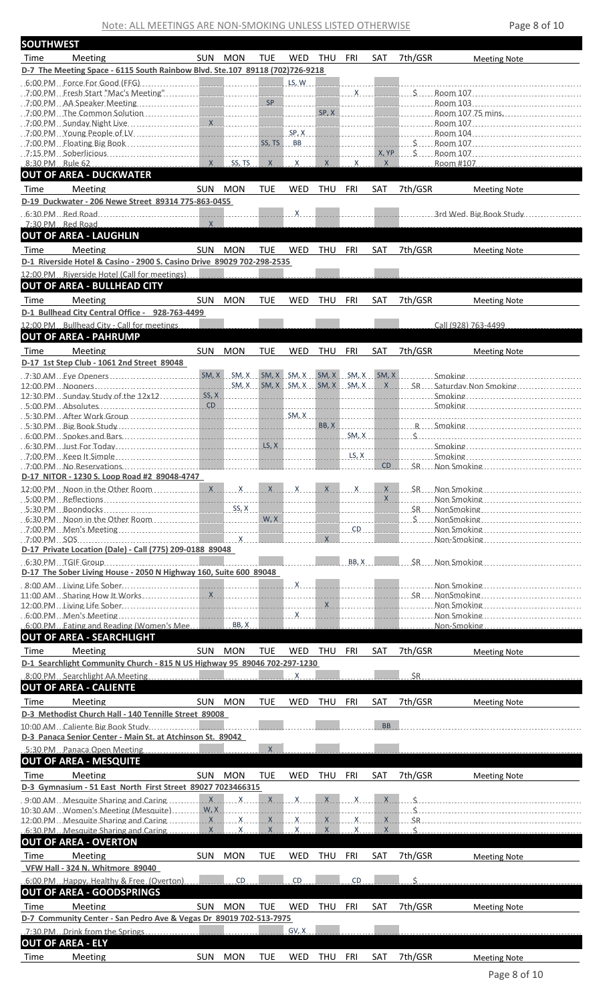Note: ALL MEETINGS ARE NON-SMOKING UNLESS LISTED OTHERWISE Page 8 of 10

| <b>SOUTHWEST</b> |                                                                                                               |              |            |            |              |            |                                           |           |              |                                                                                                                                                                                                                                |
|------------------|---------------------------------------------------------------------------------------------------------------|--------------|------------|------------|--------------|------------|-------------------------------------------|-----------|--------------|--------------------------------------------------------------------------------------------------------------------------------------------------------------------------------------------------------------------------------|
| Time             | Meeting                                                                                                       | SUN MON      |            | <b>TUE</b> | WED          | THU FRI    |                                           | SAT       | 7th/GSR      | <b>Meeting Note</b>                                                                                                                                                                                                            |
|                  | D-7 The Meeting Space - 6115 South Rainbow Blvd. Ste.107 89118 (702)726-9218                                  |              |            |            |              |            |                                           |           |              |                                                                                                                                                                                                                                |
|                  |                                                                                                               |              |            |            | LS, W        |            |                                           |           |              |                                                                                                                                                                                                                                |
|                  |                                                                                                               |              |            |            | .            |            | <u>in de de de d</u>                      |           | <u>.</u>     |                                                                                                                                                                                                                                |
|                  |                                                                                                               |              |            |            |              |            | SP, X                                     |           |              |                                                                                                                                                                                                                                |
|                  |                                                                                                               |              |            |            | SP, X        |            |                                           |           |              | <u>Room 104</u>                                                                                                                                                                                                                |
|                  |                                                                                                               |              |            |            |              |            |                                           | .         |              | $S_{\text{max}}$ Room 107                                                                                                                                                                                                      |
|                  | $7:15 \text{ PM}$ Soberlicious                                                                                |              | .          |            |              |            |                                           |           |              |                                                                                                                                                                                                                                |
| 8:30 PM Rule 62  | <b>OUT OF AREA - DUCKWATER</b>                                                                                | X            | SS, TS     | $X_{--}$   | . X.         | X          | $\mathsf{X}$                              | $X_{-}$   |              | Room #107                                                                                                                                                                                                                      |
|                  | Meeting                                                                                                       | SUN MON      |            |            | WED          |            | <b>FRI</b>                                |           |              |                                                                                                                                                                                                                                |
| Time             | D-19 Duckwater - 206 Newe Street 89314 775-863-0455                                                           |              |            | <b>TUE</b> |              | THU        |                                           | SAT       | 7th/GSR      | <b>Meeting Note</b>                                                                                                                                                                                                            |
|                  | $6:30$ PM $\blacksquare$ Red Road                                                                             |              |            |            | $\mathsf{X}$ |            |                                           |           | <u>.</u>     | 3rd Wed. Big Book Study                                                                                                                                                                                                        |
|                  | 7:30 PM Red Road                                                                                              | $\mathsf{X}$ |            |            |              |            |                                           |           |              |                                                                                                                                                                                                                                |
|                  | <b>OUT OF AREA - LAUGHLIN</b>                                                                                 |              |            |            |              |            |                                           |           |              |                                                                                                                                                                                                                                |
| Time             | Meeting                                                                                                       | SUN MON      |            | <b>TUE</b> | WED          | THU FRI    |                                           | SAT       | 7th/GSR      | <b>Meeting Note</b>                                                                                                                                                                                                            |
|                  | D-1 Riverside Hotel & Casino - 2900 S. Casino Drive 89029 702-298-2535                                        |              |            |            |              |            |                                           |           |              |                                                                                                                                                                                                                                |
|                  | 12:00 PM Riverside Hotel (Call for meetings).                                                                 |              |            |            |              |            |                                           |           |              |                                                                                                                                                                                                                                |
|                  | <b>OUT OF AREA - BULLHEAD CITY</b>                                                                            |              |            |            |              |            |                                           |           |              |                                                                                                                                                                                                                                |
| Time             | Meeting                                                                                                       | SUN.         | <b>MON</b> | <b>TUE</b> | WED          | THU        | <b>FRI</b>                                | SAT       | 7th/GSR      | <b>Meeting Note</b>                                                                                                                                                                                                            |
|                  | D-1 Bullhead City Central Office - 928-763-4499<br>12:00 PM Bullhead City - Call for meetings                 |              |            |            |              |            |                                           |           |              | Call (928) 763-4499                                                                                                                                                                                                            |
|                  | <b>OUT OF AREA - PAHRUMP</b>                                                                                  |              |            |            |              |            |                                           |           |              |                                                                                                                                                                                                                                |
| Time             | Meeting                                                                                                       | SUN MON      |            | <b>TUE</b> | <b>WED</b>   | THU FRI    |                                           | SAT       | 7th/GSR      | <b>Meeting Note</b>                                                                                                                                                                                                            |
|                  | D-17 1st Step Club - 1061 2nd Street 89048                                                                    |              |            |            |              |            |                                           |           |              |                                                                                                                                                                                                                                |
|                  |                                                                                                               |              |            |            |              |            |                                           |           |              | $SM, X, \_S M, X, \_S M, X, \_S M, X, \_S M, X, \_S M, X, \_S M, X, \ldots, \S M, X, \ldots, \S M \right)$                                                                                                                     |
|                  |                                                                                                               |              |            |            |              |            |                                           |           |              | SM, X. SM, X. SM, X. SM, X. SM, X.  X.  SR Saturday Non Smoking                                                                                                                                                                |
|                  | 12:30 PM Sunday Study of the 12x12                                                                            |              | SS, X      |            | <u>.</u>     |            |                                           |           |              |                                                                                                                                                                                                                                |
|                  |                                                                                                               |              |            |            |              |            |                                           |           |              |                                                                                                                                                                                                                                |
|                  |                                                                                                               |              |            |            |              |            |                                           |           |              | BB, X R Smoking                                                                                                                                                                                                                |
|                  |                                                                                                               |              |            |            |              |            | SM, X                                     |           | $\mathsf{S}$ |                                                                                                                                                                                                                                |
|                  |                                                                                                               |              |            |            |              |            | $\lfloor \mathsf{LS}, \mathsf{X} \rfloor$ |           |              | Smoking and the state of the state of the state of the state of the state of the state of the state of the state of the state of the state of the state of the state of the state of the state of the state of the state of th |
|                  |                                                                                                               |              |            |            |              |            |                                           | CD.       |              | SR Non Smoking                                                                                                                                                                                                                 |
|                  | D-17 NITOR - 1230 S. Loop Road #2 89048-4747                                                                  |              |            |            |              |            |                                           |           |              |                                                                                                                                                                                                                                |
|                  |                                                                                                               |              |            |            |              |            |                                           |           |              |                                                                                                                                                                                                                                |
|                  |                                                                                                               |              |            |            |              |            |                                           |           |              |                                                                                                                                                                                                                                |
|                  |                                                                                                               |              |            |            |              |            |                                           |           |              |                                                                                                                                                                                                                                |
|                  |                                                                                                               |              |            |            |              |            |                                           |           |              |                                                                                                                                                                                                                                |
|                  | D-17 Private Location (Dale) - Call (775) 209-0188 89048                                                      |              |            |            |              |            |                                           |           |              |                                                                                                                                                                                                                                |
|                  | $6:30$ PM TGIF Group                                                                                          |              |            |            |              |            | BB, X                                     |           |              | SR Non Smoking                                                                                                                                                                                                                 |
|                  | D-17 The Sober Living House - 2050 N Highway 160, Suite 600 89048                                             |              |            |            |              |            |                                           |           |              |                                                                                                                                                                                                                                |
|                  |                                                                                                               |              |            |            |              |            |                                           |           |              |                                                                                                                                                                                                                                |
|                  |                                                                                                               |              |            |            |              |            |                                           |           |              | Non Smoking <b>Non-Markoving</b>                                                                                                                                                                                               |
|                  | 6:00 PM Eating and Reading (Women's Mee                                                                       |              | BB, X      |            |              |            | <u> 1999 - John Bernson Barbara (</u>     |           |              | Non-Smoking                                                                                                                                                                                                                    |
|                  | <b>OUT OF AREA - SEARCHLIGHT</b>                                                                              |              |            |            |              |            |                                           |           |              |                                                                                                                                                                                                                                |
| Time             | Meeting                                                                                                       | SUN MON      |            | <b>TUE</b> | WED          | THU        | FRI                                       | SAT       | 7th/GSR      | <b>Meeting Note</b>                                                                                                                                                                                                            |
|                  | D-1 Searchlight Community Church - 815 N US Highway 95 89046 702-297-1230                                     |              |            |            |              |            |                                           |           |              |                                                                                                                                                                                                                                |
|                  | 8:00 PM Searchlight AA Meeting                                                                                |              |            |            | Х.           |            |                                           |           | ŚR.          |                                                                                                                                                                                                                                |
|                  | <b>OUT OF AREA - CALIENTE</b>                                                                                 |              |            |            |              |            |                                           |           |              |                                                                                                                                                                                                                                |
| Time             | Meeting                                                                                                       | SUN MON      |            | <b>TUE</b> | <b>WED</b>   | THU        | FRI                                       | SAT       | 7th/GSR      | <b>Meeting Note</b>                                                                                                                                                                                                            |
|                  | D-3 Methodist Church Hall - 140 Tennille Street 89008                                                         |              |            |            |              |            |                                           |           |              |                                                                                                                                                                                                                                |
|                  | 10:00 AM Caliente Big Book Study                                                                              |              |            |            |              |            |                                           | <b>BB</b> |              |                                                                                                                                                                                                                                |
|                  | D-3 Panaca Senior Center - Main St. at Atchinson St. 89042                                                    |              |            |            |              |            |                                           |           |              |                                                                                                                                                                                                                                |
|                  | 5:30 PM Panaca Open Meeting<br><b>OUT OF AREA - MESQUITE</b>                                                  |              |            | $X_{-}$    |              |            |                                           |           |              |                                                                                                                                                                                                                                |
| Time             | Meeting                                                                                                       | SUN MON      |            | <b>TUE</b> | WED          | THU FRI    |                                           | SAT       | 7th/GSR      |                                                                                                                                                                                                                                |
|                  | D-3 Gymnasium - 51 East North First Street 89027 7023466315                                                   |              |            |            |              |            |                                           |           |              | <b>Meeting Note</b>                                                                                                                                                                                                            |
|                  |                                                                                                               |              |            |            |              |            |                                           |           |              |                                                                                                                                                                                                                                |
|                  | 10:30 AM Momen's Meeting (Mesquite) Martin M.X Martin Martin Martin Martin Martin Martin Martin Martin Martin |              |            |            |              |            |                                           |           |              |                                                                                                                                                                                                                                |
|                  |                                                                                                               |              | . X        | X          | $\mathsf{X}$ | X          | $\mathsf{X}$                              | $X -$     |              |                                                                                                                                                                                                                                |
|                  | <b>OUT OF AREA - OVERTON</b>                                                                                  |              |            |            |              |            |                                           |           |              |                                                                                                                                                                                                                                |
| Time             | Meeting                                                                                                       | SUN MON      |            | <b>TUE</b> | WED          | THU        | FRI                                       | SAT       | 7th/GSR      |                                                                                                                                                                                                                                |
|                  | VFW Hall - 324 N. Whitmore 89040                                                                              |              |            |            |              |            |                                           |           |              | <b>Meeting Note</b>                                                                                                                                                                                                            |
|                  | 6:00 PM Happy, Healthy & Free (Overton)                                                                       |              | CD         |            | CD           |            | CD                                        |           | ς.           |                                                                                                                                                                                                                                |
|                  | <b>OUT OF AREA - GOODSPRINGS</b>                                                                              |              |            |            |              |            |                                           |           |              |                                                                                                                                                                                                                                |
| Time             | Meeting                                                                                                       | SUN MON      |            | <b>TUE</b> | <b>WED</b>   | THU FRI    |                                           | SAT       | 7th/GSR      | <b>Meeting Note</b>                                                                                                                                                                                                            |
|                  | D-7 Community Center - San Pedro Ave & Vegas Dr 89019 702-513-7975                                            |              |            |            |              |            |                                           |           |              |                                                                                                                                                                                                                                |
|                  | 7:30 PM Drink from the Springs<br>the contract of the contract of                                             |              |            |            | GV, X        |            |                                           |           |              |                                                                                                                                                                                                                                |
|                  | <b>OUT OF AREA - ELY</b>                                                                                      |              |            |            |              |            |                                           |           |              |                                                                                                                                                                                                                                |
| Time             | Meeting                                                                                                       | <b>SUN</b>   | <b>MON</b> | <b>TUE</b> | WED          | <b>THU</b> | FRI                                       | SAT       | 7th/GSR      | <b>Meeting Note</b>                                                                                                                                                                                                            |